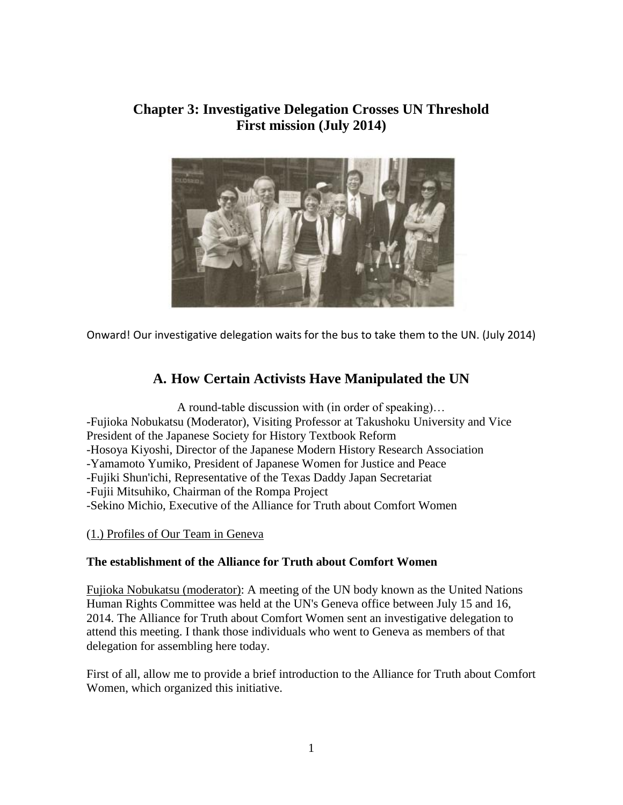## **Chapter 3: Investigative Delegation Crosses UN Threshold First mission (July 2014)**



Onward! Our investigative delegation waits for the bus to take them to the UN. (July 2014)

# **A. How Certain Activists Have Manipulated the UN**

A round-table discussion with (in order of speaking)… -Fujioka Nobukatsu (Moderator), Visiting Professor at Takushoku University and Vice President of the Japanese Society for History Textbook Reform -Hosoya Kiyoshi, Director of the Japanese Modern History Research Association -Yamamoto Yumiko, President of Japanese Women for Justice and Peace -Fujiki Shun'ichi, Representative of the Texas Daddy Japan Secretariat -Fujii Mitsuhiko, Chairman of the Rompa Project -Sekino Michio, Executive of the Alliance for Truth about Comfort Women

(1.) Profiles of Our Team in Geneva

## **The establishment of the Alliance for Truth about Comfort Women**

Fujioka Nobukatsu (moderator): A meeting of the UN body known as the United Nations Human Rights Committee was held at the UN's Geneva office between July 15 and 16, 2014. The Alliance for Truth about Comfort Women sent an investigative delegation to attend this meeting. I thank those individuals who went to Geneva as members of that delegation for assembling here today.

First of all, allow me to provide a brief introduction to the Alliance for Truth about Comfort Women, which organized this initiative.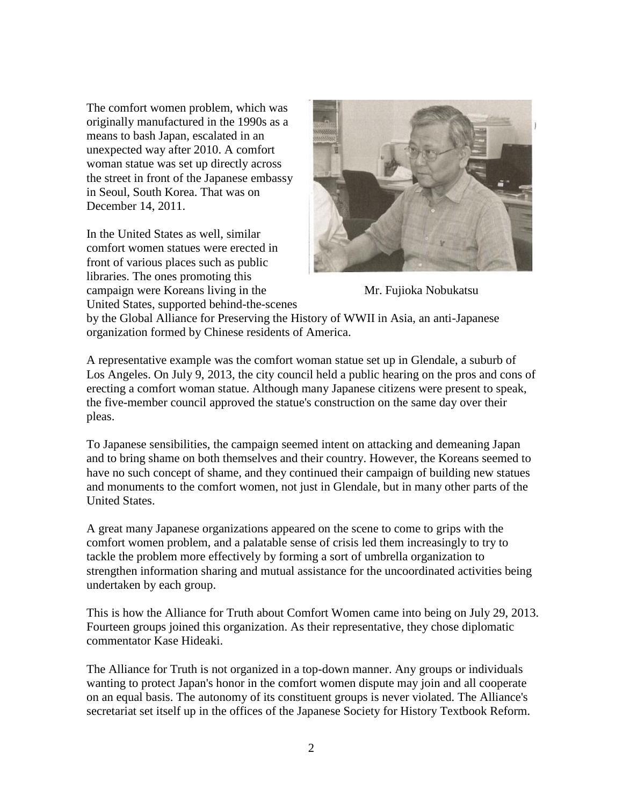The comfort women problem, which was originally manufactured in the 1990s as a means to bash Japan, escalated in an unexpected way after 2010. A comfort woman statue was set up directly across the street in front of the Japanese embassy in Seoul, South Korea. That was on December 14, 2011.

In the United States as well, similar comfort women statues were erected in front of various places such as public libraries. The ones promoting this campaign were Koreans living in the Mr. Fujioka Nobukatsu United States, supported behind-the-scenes



by the Global Alliance for Preserving the History of WWII in Asia, an anti-Japanese organization formed by Chinese residents of America.

A representative example was the comfort woman statue set up in Glendale, a suburb of Los Angeles. On July 9, 2013, the city council held a public hearing on the pros and cons of erecting a comfort woman statue. Although many Japanese citizens were present to speak, the five-member council approved the statue's construction on the same day over their pleas.

To Japanese sensibilities, the campaign seemed intent on attacking and demeaning Japan and to bring shame on both themselves and their country. However, the Koreans seemed to have no such concept of shame, and they continued their campaign of building new statues and monuments to the comfort women, not just in Glendale, but in many other parts of the United States.

A great many Japanese organizations appeared on the scene to come to grips with the comfort women problem, and a palatable sense of crisis led them increasingly to try to tackle the problem more effectively by forming a sort of umbrella organization to strengthen information sharing and mutual assistance for the uncoordinated activities being undertaken by each group.

This is how the Alliance for Truth about Comfort Women came into being on July 29, 2013. Fourteen groups joined this organization. As their representative, they chose diplomatic commentator Kase Hideaki.

The Alliance for Truth is not organized in a top-down manner. Any groups or individuals wanting to protect Japan's honor in the comfort women dispute may join and all cooperate on an equal basis. The autonomy of its constituent groups is never violated. The Alliance's secretariat set itself up in the offices of the Japanese Society for History Textbook Reform.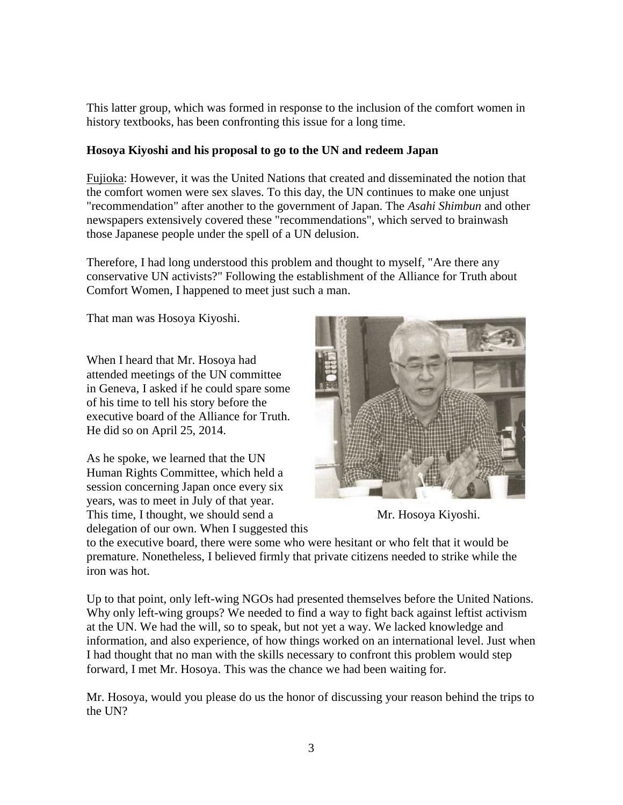This latter group, which was formed in response to the inclusion of the comfort women in history textbooks, has been confronting this issue for a long time.

### **Hosoya Kiyoshi and his proposal to go to the UN and redeem Japan**

Fujioka: However, it was the United Nations that created and disseminated the notion that the comfort women were sex slaves. To this day, the UN continues to make one unjust "recommendation" after another to the government of Japan. The *Asahi Shimbun* and other newspapers extensively covered these "recommendations", which served to brainwash those Japanese people under the spell of a UN delusion.

Therefore, I had long understood this problem and thought to myself, "Are there any conservative UN activists?" Following the establishment of the Alliance for Truth about Comfort Women, I happened to meet just such a man.

That man was Hosoya Kiyoshi.

When I heard that Mr. Hosoya had attended meetings of the UN committee in Geneva, I asked if he could spare some of his time to tell his story before the executive board of the Alliance for Truth. He did so on April 25, 2014.

As he spoke, we learned that the UN Human Rights Committee, which held a session concerning Japan once every six years, was to meet in July of that year. This time, I thought, we should send a Mr. Hosoya Kiyoshi. delegation of our own. When I suggested this



to the executive board, there were some who were hesitant or who felt that it would be premature. Nonetheless, I believed firmly that private citizens needed to strike while the iron was hot.

Up to that point, only left-wing NGOs had presented themselves before the United Nations. Why only left-wing groups? We needed to find a way to fight back against leftist activism at the UN. We had the will, so to speak, but not yet a way. We lacked knowledge and information, and also experience, of how things worked on an international level. Just when I had thought that no man with the skills necessary to confront this problem would step forward, I met Mr. Hosoya. This was the chance we had been waiting for.

Mr. Hosoya, would you please do us the honor of discussing your reason behind the trips to the UN?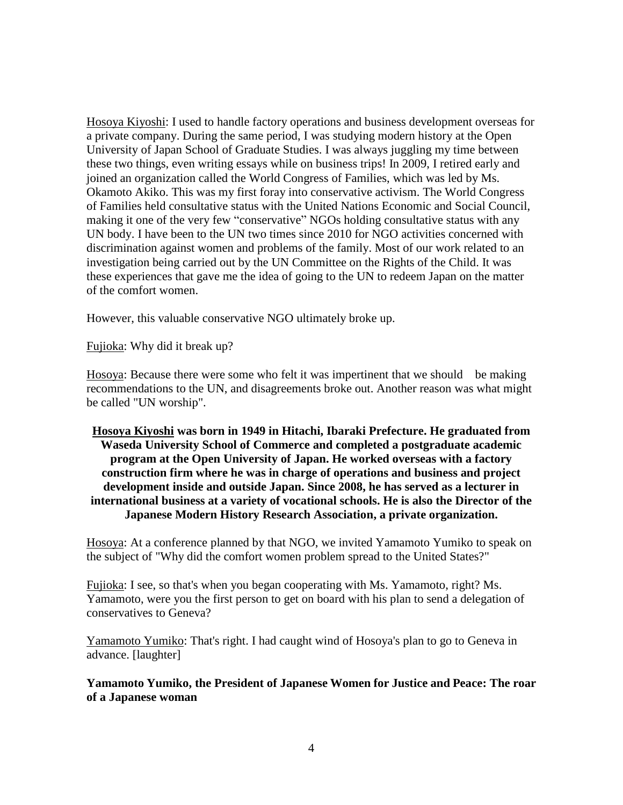Hosoya Kiyoshi: I used to handle factory operations and business development overseas for a private company. During the same period, I was studying modern history at the Open University of Japan School of Graduate Studies. I was always juggling my time between these two things, even writing essays while on business trips! In 2009, I retired early and joined an organization called the World Congress of Families, which was led by Ms. Okamoto Akiko. This was my first foray into conservative activism. The World Congress of Families held consultative status with the United Nations Economic and Social Council, making it one of the very few "conservative" NGOs holding consultative status with any UN body. I have been to the UN two times since 2010 for NGO activities concerned with discrimination against women and problems of the family. Most of our work related to an investigation being carried out by the UN Committee on the Rights of the Child. It was these experiences that gave me the idea of going to the UN to redeem Japan on the matter of the comfort women.

However, this valuable conservative NGO ultimately broke up.

Fujioka: Why did it break up?

Hosoya: Because there were some who felt it was impertinent that we should be making recommendations to the UN, and disagreements broke out. Another reason was what might be called "UN worship".

## **Hosoya Kiyoshi was born in 1949 in Hitachi, Ibaraki Prefecture. He graduated from Waseda University School of Commerce and completed a postgraduate academic program at the Open University of Japan. He worked overseas with a factory construction firm where he was in charge of operations and business and project development inside and outside Japan. Since 2008, he has served as a lecturer in international business at a variety of vocational schools. He is also the Director of the Japanese Modern History Research Association, a private organization.**

Hosoya: At a conference planned by that NGO, we invited Yamamoto Yumiko to speak on the subject of "Why did the comfort women problem spread to the United States?"

Fujioka: I see, so that's when you began cooperating with Ms. Yamamoto, right? Ms. Yamamoto, were you the first person to get on board with his plan to send a delegation of conservatives to Geneva?

Yamamoto Yumiko: That's right. I had caught wind of Hosoya's plan to go to Geneva in advance. [laughter]

#### **Yamamoto Yumiko, the President of Japanese Women for Justice and Peace: The roar of a Japanese woman**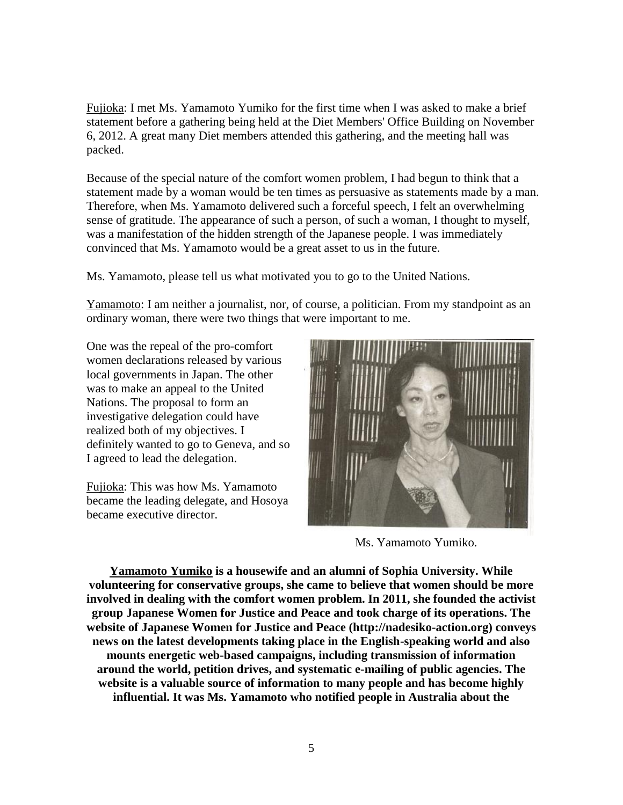Fujioka: I met Ms. Yamamoto Yumiko for the first time when I was asked to make a brief statement before a gathering being held at the Diet Members' Office Building on November 6, 2012. A great many Diet members attended this gathering, and the meeting hall was packed.

Because of the special nature of the comfort women problem, I had begun to think that a statement made by a woman would be ten times as persuasive as statements made by a man. Therefore, when Ms. Yamamoto delivered such a forceful speech, I felt an overwhelming sense of gratitude. The appearance of such a person, of such a woman, I thought to myself, was a manifestation of the hidden strength of the Japanese people. I was immediately convinced that Ms. Yamamoto would be a great asset to us in the future.

Ms. Yamamoto, please tell us what motivated you to go to the United Nations.

Yamamoto: I am neither a journalist, nor, of course, a politician. From my standpoint as an ordinary woman, there were two things that were important to me.

One was the repeal of the pro-comfort women declarations released by various local governments in Japan. The other was to make an appeal to the United Nations. The proposal to form an investigative delegation could have realized both of my objectives. I definitely wanted to go to Geneva, and so I agreed to lead the delegation.

Fujioka: This was how Ms. Yamamoto became the leading delegate, and Hosoya became executive director.



Ms. Yamamoto Yumiko.

**Yamamoto Yumiko is a housewife and an alumni of Sophia University. While volunteering for conservative groups, she came to believe that women should be more involved in dealing with the comfort women problem. In 2011, she founded the activist group Japanese Women for Justice and Peace and took charge of its operations. The website of Japanese Women for Justice and Peace (http://nadesiko-action.org) conveys news on the latest developments taking place in the English-speaking world and also mounts energetic web-based campaigns, including transmission of information around the world, petition drives, and systematic e-mailing of public agencies. The website is a valuable source of information to many people and has become highly influential. It was Ms. Yamamoto who notified people in Australia about the**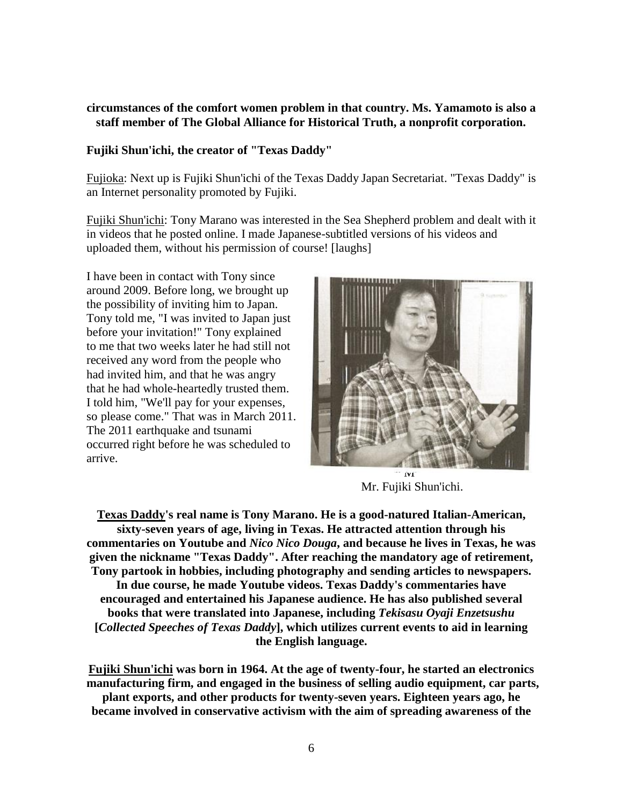#### **circumstances of the comfort women problem in that country. Ms. Yamamoto is also a staff member of The Global Alliance for Historical Truth, a nonprofit corporation.**

#### **Fujiki Shun'ichi, the creator of "Texas Daddy"**

Fujioka: Next up is Fujiki Shun'ichi of the Texas Daddy Japan Secretariat. "Texas Daddy" is an Internet personality promoted by Fujiki.

Fujiki Shun'ichi: Tony Marano was interested in the Sea Shepherd problem and dealt with it in videos that he posted online. I made Japanese-subtitled versions of his videos and uploaded them, without his permission of course! [laughs]

I have been in contact with Tony since around 2009. Before long, we brought up the possibility of inviting him to Japan. Tony told me, "I was invited to Japan just before your invitation!" Tony explained to me that two weeks later he had still not received any word from the people who had invited him, and that he was angry that he had whole-heartedly trusted them. I told him, "We'll pay for your expenses, so please come." That was in March 2011. The 2011 earthquake and tsunami occurred right before he was scheduled to arrive.



Mr. Fujiki Shun'ichi.

**Texas Daddy's real name is Tony Marano. He is a good-natured Italian-American, sixty-seven years of age, living in Texas. He attracted attention through his commentaries on Youtube and** *Nico Nico Douga***, and because he lives in Texas, he was given the nickname "Texas Daddy". After reaching the mandatory age of retirement, Tony partook in hobbies, including photography and sending articles to newspapers. In due course, he made Youtube videos. Texas Daddy's commentaries have encouraged and entertained his Japanese audience. He has also published several books that were translated into Japanese, including** *Tekisasu Oyaji Enzetsushu* **[***Collected Speeches of Texas Daddy***], which utilizes current events to aid in learning the English language.**

**Fujiki Shun'ichi was born in 1964. At the age of twenty-four, he started an electronics manufacturing firm, and engaged in the business of selling audio equipment, car parts, plant exports, and other products for twenty-seven years. Eighteen years ago, he became involved in conservative activism with the aim of spreading awareness of the**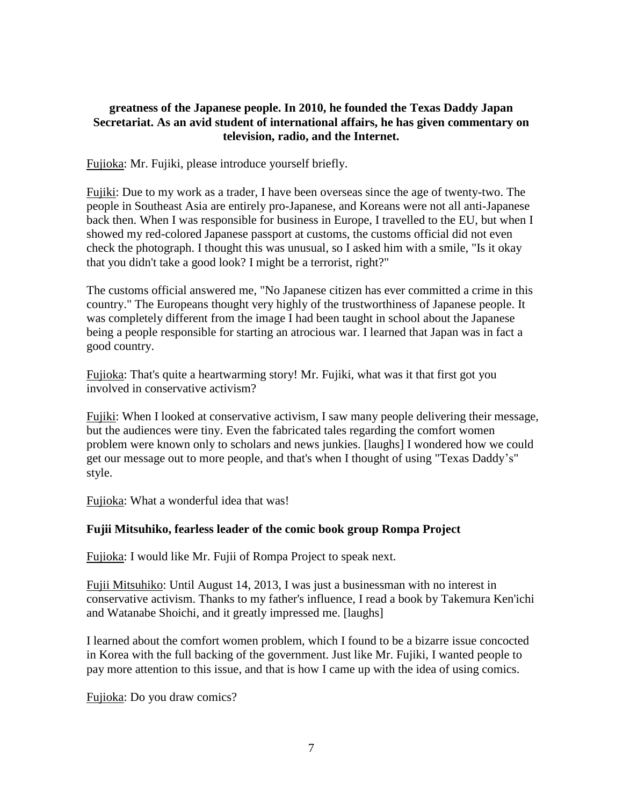### **greatness of the Japanese people. In 2010, he founded the Texas Daddy Japan Secretariat. As an avid student of international affairs, he has given commentary on television, radio, and the Internet.**

Fujioka: Mr. Fujiki, please introduce yourself briefly.

Fujiki: Due to my work as a trader, I have been overseas since the age of twenty-two. The people in Southeast Asia are entirely pro-Japanese, and Koreans were not all anti-Japanese back then. When I was responsible for business in Europe, I travelled to the EU, but when I showed my red-colored Japanese passport at customs, the customs official did not even check the photograph. I thought this was unusual, so I asked him with a smile, "Is it okay that you didn't take a good look? I might be a terrorist, right?"

The customs official answered me, "No Japanese citizen has ever committed a crime in this country." The Europeans thought very highly of the trustworthiness of Japanese people. It was completely different from the image I had been taught in school about the Japanese being a people responsible for starting an atrocious war. I learned that Japan was in fact a good country.

Fujioka: That's quite a heartwarming story! Mr. Fujiki, what was it that first got you involved in conservative activism?

Fujiki: When I looked at conservative activism, I saw many people delivering their message, but the audiences were tiny. Even the fabricated tales regarding the comfort women problem were known only to scholars and news junkies. [laughs] I wondered how we could get our message out to more people, and that's when I thought of using "Texas Daddy's" style.

Fujioka: What a wonderful idea that was!

## **Fujii Mitsuhiko, fearless leader of the comic book group Rompa Project**

Fujioka: I would like Mr. Fujii of Rompa Project to speak next.

Fujii Mitsuhiko: Until August 14, 2013, I was just a businessman with no interest in conservative activism. Thanks to my father's influence, I read a book by Takemura Ken'ichi and Watanabe Shoichi, and it greatly impressed me. [laughs]

I learned about the comfort women problem, which I found to be a bizarre issue concocted in Korea with the full backing of the government. Just like Mr. Fujiki, I wanted people to pay more attention to this issue, and that is how I came up with the idea of using comics.

Fujioka: Do you draw comics?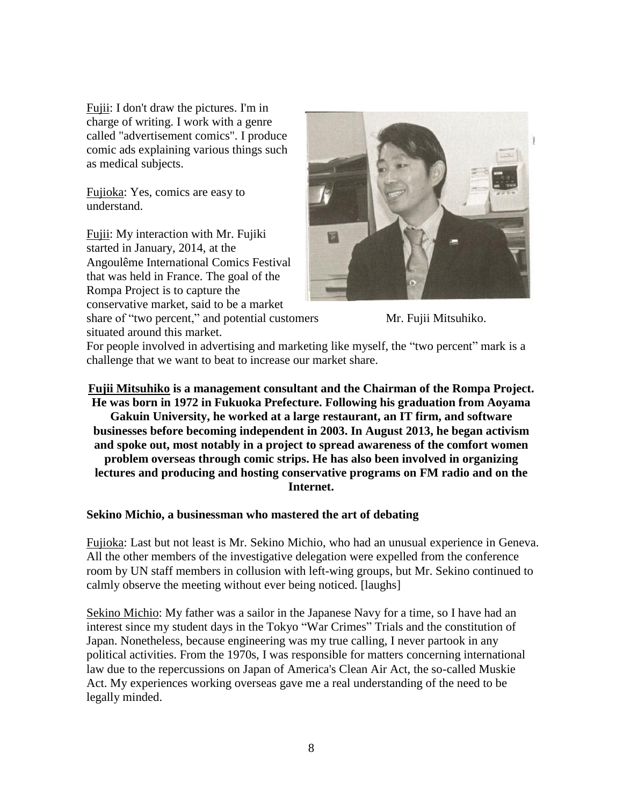Fujii: I don't draw the pictures. I'm in charge of writing. I work with a genre called "advertisement comics". I produce comic ads explaining various things such as medical subjects.

Fujioka: Yes, comics are easy to understand.

Fujii: My interaction with Mr. Fujiki started in January, 2014, at the Angoulême International Comics Festival that was held in France. The goal of the Rompa Project is to capture the conservative market, said to be a market

share of "two percent," and potential customers Mr. Fujii Mitsuhiko. situated around this market.





For people involved in advertising and marketing like myself, the "two percent" mark is a challenge that we want to beat to increase our market share.

## **Fujii Mitsuhiko is a management consultant and the Chairman of the Rompa Project. He was born in 1972 in Fukuoka Prefecture. Following his graduation from Aoyama Gakuin University, he worked at a large restaurant, an IT firm, and software businesses before becoming independent in 2003. In August 2013, he began activism and spoke out, most notably in a project to spread awareness of the comfort women problem overseas through comic strips. He has also been involved in organizing lectures and producing and hosting conservative programs on FM radio and on the Internet.**

#### **Sekino Michio, a businessman who mastered the art of debating**

Fujioka: Last but not least is Mr. Sekino Michio, who had an unusual experience in Geneva. All the other members of the investigative delegation were expelled from the conference room by UN staff members in collusion with left-wing groups, but Mr. Sekino continued to calmly observe the meeting without ever being noticed. [laughs]

Sekino Michio: My father was a sailor in the Japanese Navy for a time, so I have had an interest since my student days in the Tokyo "War Crimes" Trials and the constitution of Japan. Nonetheless, because engineering was my true calling, I never partook in any political activities. From the 1970s, I was responsible for matters concerning international law due to the repercussions on Japan of America's Clean Air Act, the so-called Muskie Act. My experiences working overseas gave me a real understanding of the need to be legally minded.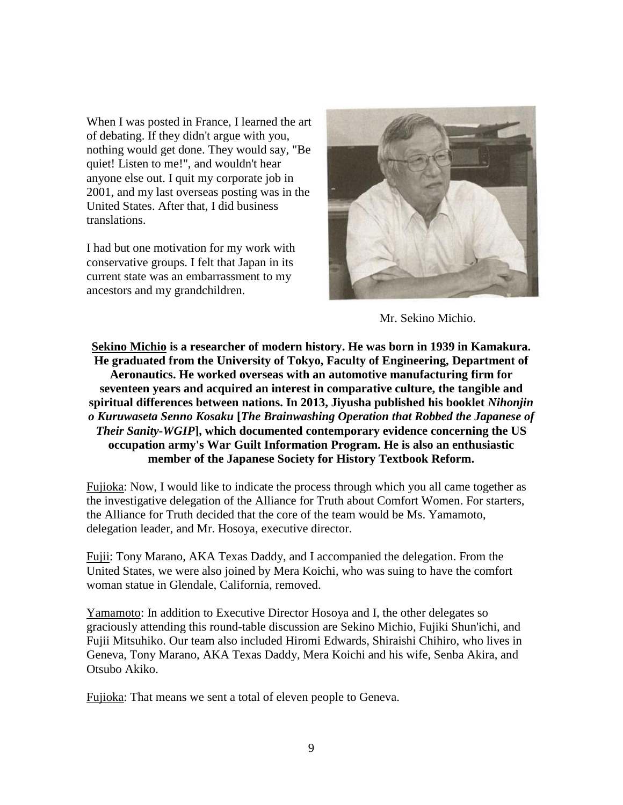When I was posted in France, I learned the art of debating. If they didn't argue with you, nothing would get done. They would say, "Be quiet! Listen to me!", and wouldn't hear anyone else out. I quit my corporate job in 2001, and my last overseas posting was in the United States. After that, I did business translations.

I had but one motivation for my work with conservative groups. I felt that Japan in its current state was an embarrassment to my ancestors and my grandchildren.



Mr. Sekino Michio.

**Sekino Michio is a researcher of modern history. He was born in 1939 in Kamakura. He graduated from the University of Tokyo, Faculty of Engineering, Department of Aeronautics. He worked overseas with an automotive manufacturing firm for seventeen years and acquired an interest in comparative culture, the tangible and spiritual differences between nations. In 2013, Jiyusha published his booklet** *Nihonjin o Kuruwaseta Senno Kosaku* **[***The Brainwashing Operation that Robbed the Japanese of Their Sanity-WGIP***], which documented contemporary evidence concerning the US occupation army's War Guilt Information Program. He is also an enthusiastic member of the Japanese Society for History Textbook Reform.**

Fujioka: Now, I would like to indicate the process through which you all came together as the investigative delegation of the Alliance for Truth about Comfort Women. For starters, the Alliance for Truth decided that the core of the team would be Ms. Yamamoto, delegation leader, and Mr. Hosoya, executive director.

Fujii: Tony Marano, AKA Texas Daddy, and I accompanied the delegation. From the United States, we were also joined by Mera Koichi, who was suing to have the comfort woman statue in Glendale, California, removed.

Yamamoto: In addition to Executive Director Hosoya and I, the other delegates so graciously attending this round-table discussion are Sekino Michio, Fujiki Shun'ichi, and Fujii Mitsuhiko. Our team also included Hiromi Edwards, Shiraishi Chihiro, who lives in Geneva, Tony Marano, AKA Texas Daddy, Mera Koichi and his wife, Senba Akira, and Otsubo Akiko.

Fujioka: That means we sent a total of eleven people to Geneva.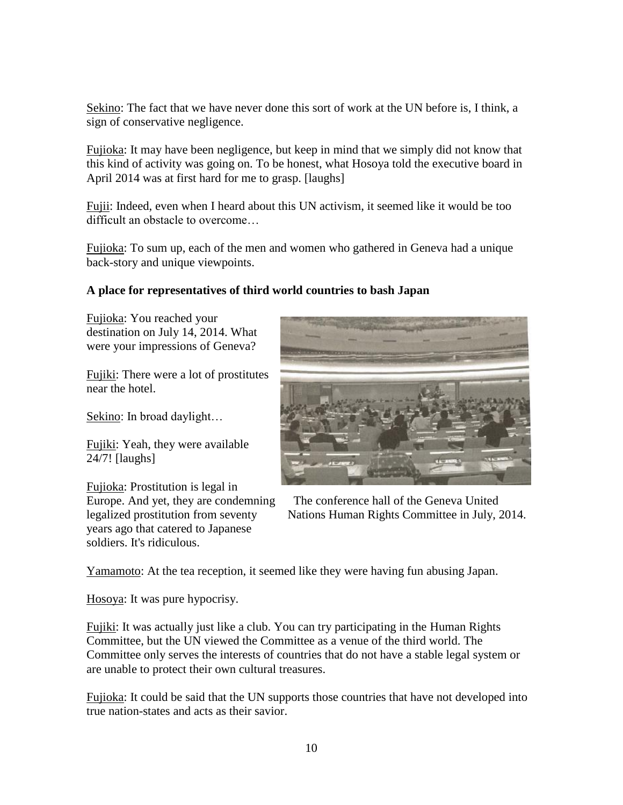Sekino: The fact that we have never done this sort of work at the UN before is, I think, a sign of conservative negligence.

Fujioka: It may have been negligence, but keep in mind that we simply did not know that this kind of activity was going on. To be honest, what Hosoya told the executive board in April 2014 was at first hard for me to grasp. [laughs]

Fujii: Indeed, even when I heard about this UN activism, it seemed like it would be too difficult an obstacle to overcome…

Fujioka: To sum up, each of the men and women who gathered in Geneva had a unique back-story and unique viewpoints.

## **A place for representatives of third world countries to bash Japan**

Fujioka: You reached your destination on July 14, 2014. What were your impressions of Geneva?

Fujiki: There were a lot of prostitutes near the hotel.

Sekino: In broad daylight…

Fujiki: Yeah, they were available 24/7! [laughs]

Fujioka: Prostitution is legal in years ago that catered to Japanese soldiers. It's ridiculous.



Europe. And yet, they are condemning The conference hall of the Geneva United legalized prostitution from seventy Nations Human Rights Committee in July, 2014.

Yamamoto: At the tea reception, it seemed like they were having fun abusing Japan.

Hosoya: It was pure hypocrisy.

Fujiki: It was actually just like a club. You can try participating in the Human Rights Committee, but the UN viewed the Committee as a venue of the third world. The Committee only serves the interests of countries that do not have a stable legal system or are unable to protect their own cultural treasures.

Fujioka: It could be said that the UN supports those countries that have not developed into true nation-states and acts as their savior.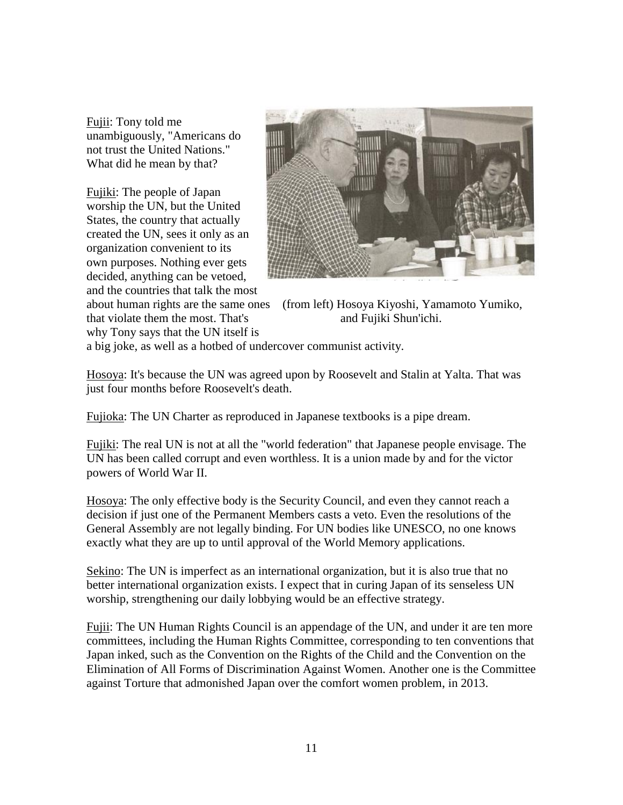Fujii: Tony told me unambiguously, "Americans do not trust the United Nations." What did he mean by that?

Fujiki: The people of Japan worship the UN, but the United States, the country that actually created the UN, sees it only as an organization convenient to its own purposes. Nothing ever gets decided, anything can be vetoed, and the countries that talk the most

why Tony says that the UN itself is



about human rights are the same ones (from left) Hosoya Kiyoshi, Yamamoto Yumiko, that violate them the most. That's and Fujiki Shun'ichi.

a big joke, as well as a hotbed of undercover communist activity.

Hosoya: It's because the UN was agreed upon by Roosevelt and Stalin at Yalta. That was just four months before Roosevelt's death.

Fujioka: The UN Charter as reproduced in Japanese textbooks is a pipe dream.

Fujiki: The real UN is not at all the "world federation" that Japanese people envisage. The UN has been called corrupt and even worthless. It is a union made by and for the victor powers of World War II.

Hosoya: The only effective body is the Security Council, and even they cannot reach a decision if just one of the Permanent Members casts a veto. Even the resolutions of the General Assembly are not legally binding. For UN bodies like UNESCO, no one knows exactly what they are up to until approval of the World Memory applications.

Sekino: The UN is imperfect as an international organization, but it is also true that no better international organization exists. I expect that in curing Japan of its senseless UN worship, strengthening our daily lobbying would be an effective strategy.

Fujii: The UN Human Rights Council is an appendage of the UN, and under it are ten more committees, including the Human Rights Committee, corresponding to ten conventions that Japan inked, such as the Convention on the Rights of the Child and the Convention on the Elimination of All Forms of Discrimination Against Women. Another one is the Committee against Torture that admonished Japan over the comfort women problem, in 2013.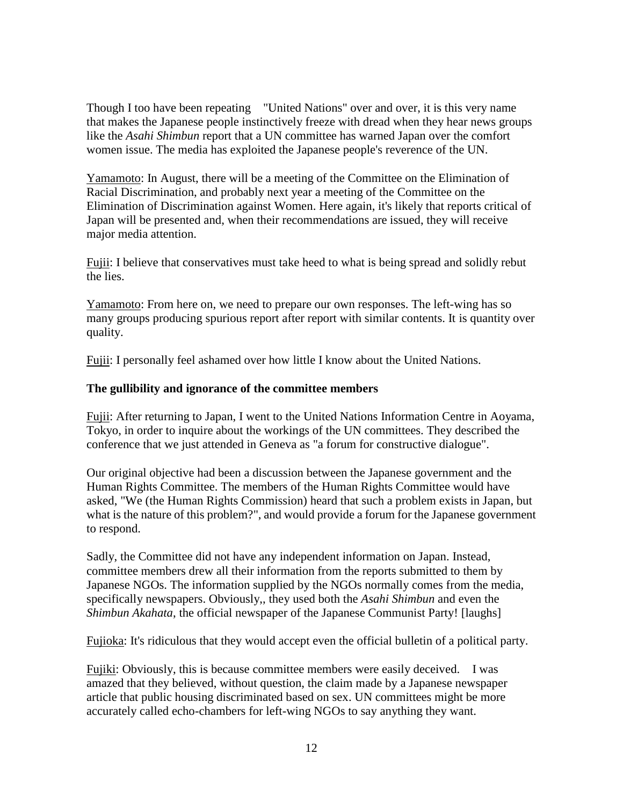Though I too have been repeating "United Nations" over and over, it is this very name that makes the Japanese people instinctively freeze with dread when they hear news groups like the *Asahi Shimbun* report that a UN committee has warned Japan over the comfort women issue. The media has exploited the Japanese people's reverence of the UN.

Yamamoto: In August, there will be a meeting of the Committee on the Elimination of Racial Discrimination, and probably next year a meeting of the Committee on the Elimination of Discrimination against Women. Here again, it's likely that reports critical of Japan will be presented and, when their recommendations are issued, they will receive major media attention.

Fujii: I believe that conservatives must take heed to what is being spread and solidly rebut the lies.

Yamamoto: From here on, we need to prepare our own responses. The left-wing has so many groups producing spurious report after report with similar contents. It is quantity over quality.

Fujii: I personally feel ashamed over how little I know about the United Nations.

### **The gullibility and ignorance of the committee members**

Fujii: After returning to Japan, I went to the United Nations Information Centre in Aoyama, Tokyo, in order to inquire about the workings of the UN committees. They described the conference that we just attended in Geneva as "a forum for constructive dialogue".

Our original objective had been a discussion between the Japanese government and the Human Rights Committee. The members of the Human Rights Committee would have asked, "We (the Human Rights Commission) heard that such a problem exists in Japan, but what is the nature of this problem?", and would provide a forum for the Japanese government to respond.

Sadly, the Committee did not have any independent information on Japan. Instead, committee members drew all their information from the reports submitted to them by Japanese NGOs. The information supplied by the NGOs normally comes from the media, specifically newspapers. Obviously,, they used both the *Asahi Shimbun* and even the *Shimbun Akahata*, the official newspaper of the Japanese Communist Party! [laughs]

Fujioka: It's ridiculous that they would accept even the official bulletin of a political party.

Fujiki: Obviously, this is because committee members were easily deceived. I was amazed that they believed, without question, the claim made by a Japanese newspaper article that public housing discriminated based on sex. UN committees might be more accurately called echo-chambers for left-wing NGOs to say anything they want.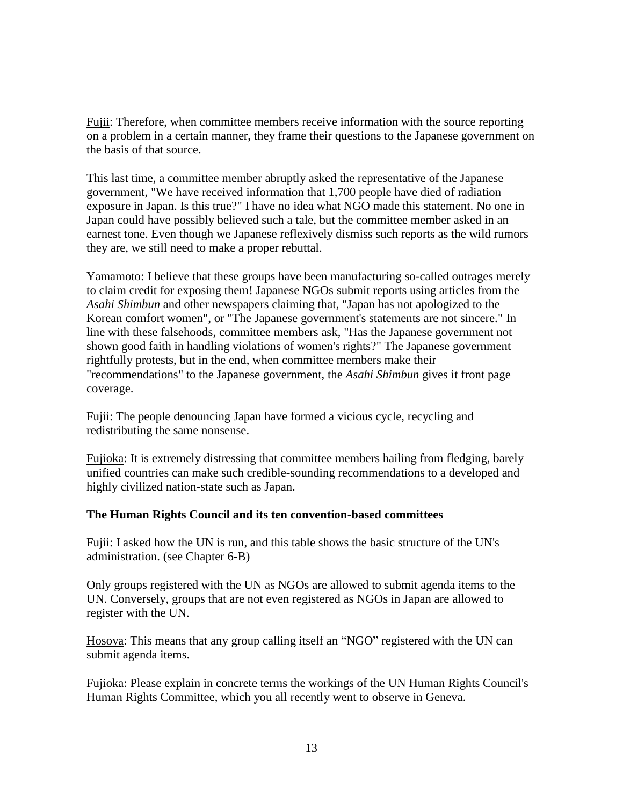Fujii: Therefore, when committee members receive information with the source reporting on a problem in a certain manner, they frame their questions to the Japanese government on the basis of that source.

This last time, a committee member abruptly asked the representative of the Japanese government, "We have received information that 1,700 people have died of radiation exposure in Japan. Is this true?" I have no idea what NGO made this statement. No one in Japan could have possibly believed such a tale, but the committee member asked in an earnest tone. Even though we Japanese reflexively dismiss such reports as the wild rumors they are, we still need to make a proper rebuttal.

Yamamoto: I believe that these groups have been manufacturing so-called outrages merely to claim credit for exposing them! Japanese NGOs submit reports using articles from the *Asahi Shimbun* and other newspapers claiming that, "Japan has not apologized to the Korean comfort women", or "The Japanese government's statements are not sincere." In line with these falsehoods, committee members ask, "Has the Japanese government not shown good faith in handling violations of women's rights?" The Japanese government rightfully protests, but in the end, when committee members make their "recommendations" to the Japanese government, the *Asahi Shimbun* gives it front page coverage.

Fujii: The people denouncing Japan have formed a vicious cycle, recycling and redistributing the same nonsense.

Fujioka: It is extremely distressing that committee members hailing from fledging, barely unified countries can make such credible-sounding recommendations to a developed and highly civilized nation-state such as Japan.

#### **The Human Rights Council and its ten convention-based committees**

Fujii: I asked how the UN is run, and this table shows the basic structure of the UN's administration. (see Chapter 6-B)

Only groups registered with the UN as NGOs are allowed to submit agenda items to the UN. Conversely, groups that are not even registered as NGOs in Japan are allowed to register with the UN.

Hosoya: This means that any group calling itself an "NGO" registered with the UN can submit agenda items.

Fujioka: Please explain in concrete terms the workings of the UN Human Rights Council's Human Rights Committee, which you all recently went to observe in Geneva.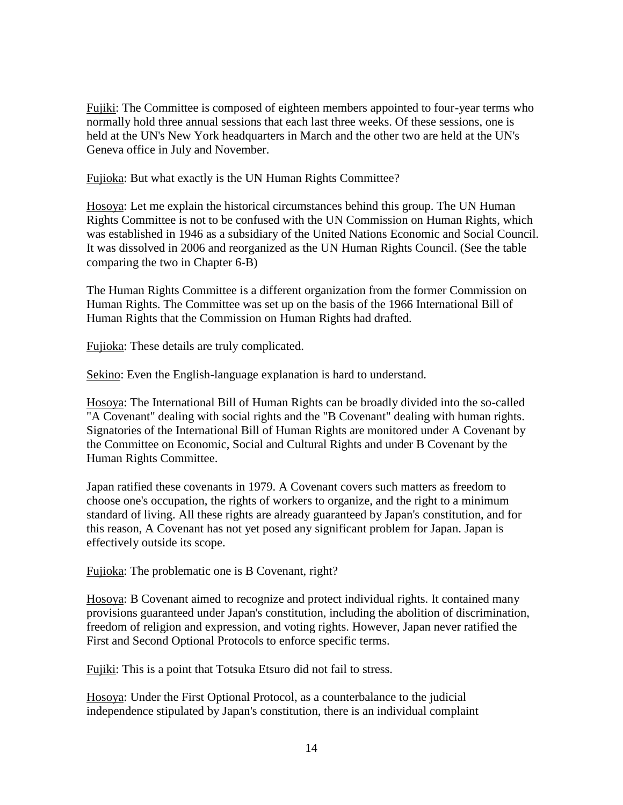Fujiki: The Committee is composed of eighteen members appointed to four-year terms who normally hold three annual sessions that each last three weeks. Of these sessions, one is held at the UN's New York headquarters in March and the other two are held at the UN's Geneva office in July and November.

Fujioka: But what exactly is the UN Human Rights Committee?

Hosoya: Let me explain the historical circumstances behind this group. The UN Human Rights Committee is not to be confused with the UN Commission on Human Rights, which was established in 1946 as a subsidiary of the United Nations Economic and Social Council. It was dissolved in 2006 and reorganized as the UN Human Rights Council. (See the table comparing the two in Chapter 6-B)

The Human Rights Committee is a different organization from the former Commission on Human Rights. The Committee was set up on the basis of the 1966 International Bill of Human Rights that the Commission on Human Rights had drafted.

Fujioka: These details are truly complicated.

Sekino: Even the English-language explanation is hard to understand.

Hosoya: The International Bill of Human Rights can be broadly divided into the so-called "A Covenant" dealing with social rights and the "B Covenant" dealing with human rights. Signatories of the International Bill of Human Rights are monitored under A Covenant by the Committee on Economic, Social and Cultural Rights and under B Covenant by the Human Rights Committee.

Japan ratified these covenants in 1979. A Covenant covers such matters as freedom to choose one's occupation, the rights of workers to organize, and the right to a minimum standard of living. All these rights are already guaranteed by Japan's constitution, and for this reason, A Covenant has not yet posed any significant problem for Japan. Japan is effectively outside its scope.

Fujioka: The problematic one is B Covenant, right?

Hosoya: B Covenant aimed to recognize and protect individual rights. It contained many provisions guaranteed under Japan's constitution, including the abolition of discrimination, freedom of religion and expression, and voting rights. However, Japan never ratified the First and Second Optional Protocols to enforce specific terms.

Fujiki: This is a point that Totsuka Etsuro did not fail to stress.

Hosoya: Under the First Optional Protocol, as a counterbalance to the judicial independence stipulated by Japan's constitution, there is an individual complaint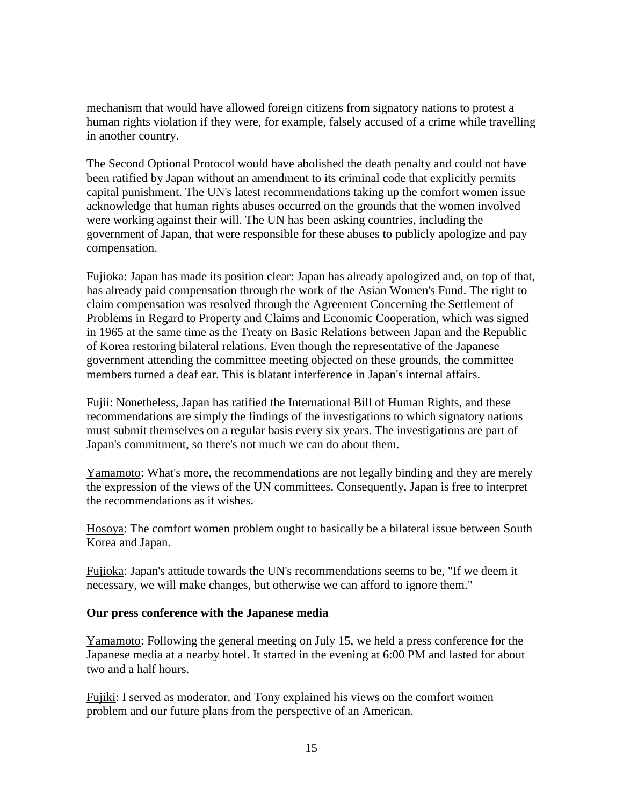mechanism that would have allowed foreign citizens from signatory nations to protest a human rights violation if they were, for example, falsely accused of a crime while travelling in another country.

The Second Optional Protocol would have abolished the death penalty and could not have been ratified by Japan without an amendment to its criminal code that explicitly permits capital punishment. The UN's latest recommendations taking up the comfort women issue acknowledge that human rights abuses occurred on the grounds that the women involved were working against their will. The UN has been asking countries, including the government of Japan, that were responsible for these abuses to publicly apologize and pay compensation.

Fujioka: Japan has made its position clear: Japan has already apologized and, on top of that, has already paid compensation through the work of the Asian Women's Fund. The right to claim compensation was resolved through the Agreement Concerning the Settlement of Problems in Regard to Property and Claims and Economic Cooperation, which was signed in 1965 at the same time as the Treaty on Basic Relations between Japan and the Republic of Korea restoring bilateral relations. Even though the representative of the Japanese government attending the committee meeting objected on these grounds, the committee members turned a deaf ear. This is blatant interference in Japan's internal affairs.

Fujii: Nonetheless, Japan has ratified the International Bill of Human Rights, and these recommendations are simply the findings of the investigations to which signatory nations must submit themselves on a regular basis every six years. The investigations are part of Japan's commitment, so there's not much we can do about them.

Yamamoto: What's more, the recommendations are not legally binding and they are merely the expression of the views of the UN committees. Consequently, Japan is free to interpret the recommendations as it wishes.

Hosoya: The comfort women problem ought to basically be a bilateral issue between South Korea and Japan.

Fujioka: Japan's attitude towards the UN's recommendations seems to be, "If we deem it necessary, we will make changes, but otherwise we can afford to ignore them."

#### **Our press conference with the Japanese media**

Yamamoto: Following the general meeting on July 15, we held a press conference for the Japanese media at a nearby hotel. It started in the evening at 6:00 PM and lasted for about two and a half hours.

Fujiki: I served as moderator, and Tony explained his views on the comfort women problem and our future plans from the perspective of an American.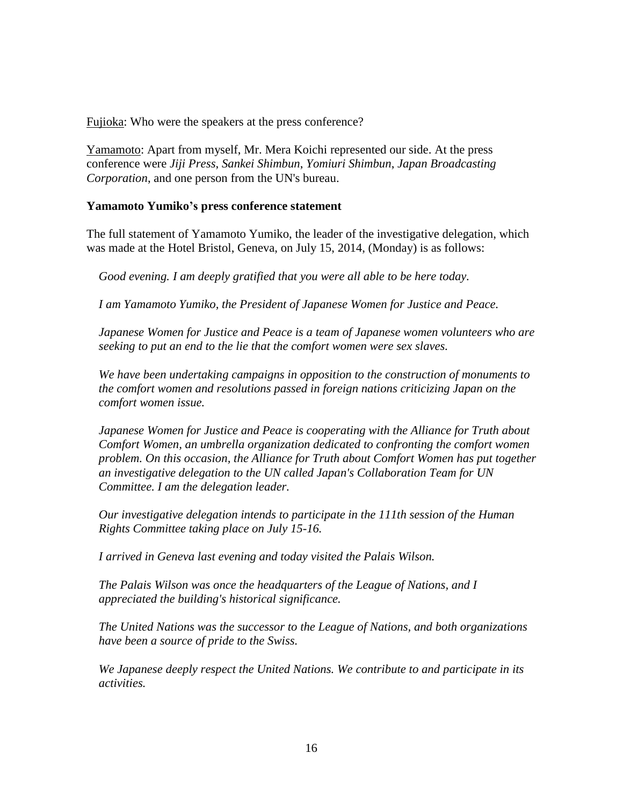Fujioka: Who were the speakers at the press conference?

Yamamoto: Apart from myself, Mr. Mera Koichi represented our side. At the press conference were *Jiji Press*, *Sankei Shimbun*, *Yomiuri Shimbun*, *Japan Broadcasting Corporation*, and one person from the UN's bureau.

#### **Yamamoto Yumiko's press conference statement**

The full statement of Yamamoto Yumiko, the leader of the investigative delegation, which was made at the Hotel Bristol, Geneva, on July 15, 2014, (Monday) is as follows:

*Good evening. I am deeply gratified that you were all able to be here today.*

*I am Yamamoto Yumiko, the President of Japanese Women for Justice and Peace.*

*Japanese Women for Justice and Peace is a team of Japanese women volunteers who are seeking to put an end to the lie that the comfort women were sex slaves.*

*We have been undertaking campaigns in opposition to the construction of monuments to the comfort women and resolutions passed in foreign nations criticizing Japan on the comfort women issue.*

*Japanese Women for Justice and Peace is cooperating with the Alliance for Truth about Comfort Women, an umbrella organization dedicated to confronting the comfort women problem. On this occasion, the Alliance for Truth about Comfort Women has put together an investigative delegation to the UN called Japan's Collaboration Team for UN Committee. I am the delegation leader.*

*Our investigative delegation intends to participate in the 111th session of the Human Rights Committee taking place on July 15-16.*

*I arrived in Geneva last evening and today visited the Palais Wilson.*

*The Palais Wilson was once the headquarters of the League of Nations, and I appreciated the building's historical significance.*

*The United Nations was the successor to the League of Nations, and both organizations have been a source of pride to the Swiss.*

*We Japanese deeply respect the United Nations. We contribute to and participate in its activities.*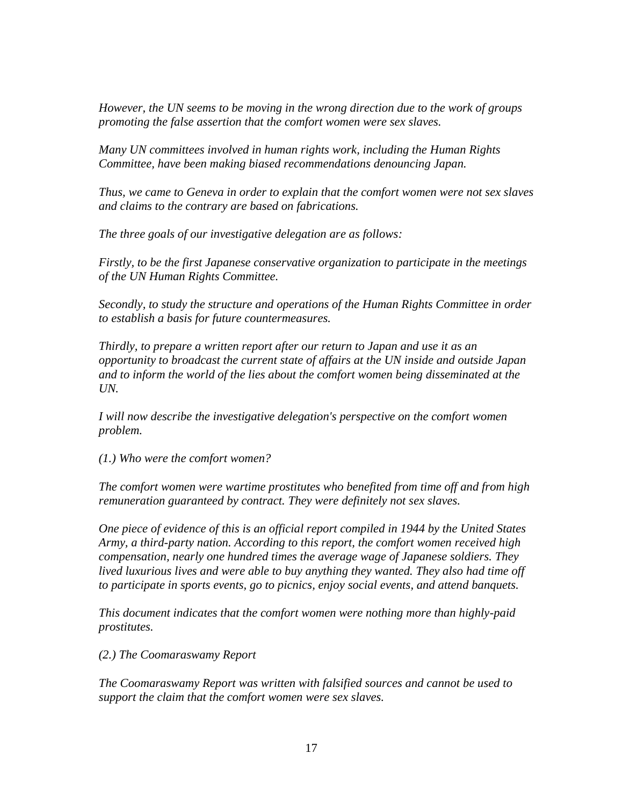*However, the UN seems to be moving in the wrong direction due to the work of groups promoting the false assertion that the comfort women were sex slaves.*

*Many UN committees involved in human rights work, including the Human Rights Committee, have been making biased recommendations denouncing Japan.*

*Thus, we came to Geneva in order to explain that the comfort women were not sex slaves and claims to the contrary are based on fabrications.*

*The three goals of our investigative delegation are as follows:*

*Firstly, to be the first Japanese conservative organization to participate in the meetings of the UN Human Rights Committee.*

*Secondly, to study the structure and operations of the Human Rights Committee in order to establish a basis for future countermeasures.*

*Thirdly, to prepare a written report after our return to Japan and use it as an opportunity to broadcast the current state of affairs at the UN inside and outside Japan and to inform the world of the lies about the comfort women being disseminated at the UN.*

*I will now describe the investigative delegation's perspective on the comfort women problem.*

*(1.) Who were the comfort women?*

*The comfort women were wartime prostitutes who benefited from time off and from high remuneration guaranteed by contract. They were definitely not sex slaves.*

*One piece of evidence of this is an official report compiled in 1944 by the United States Army, a third-party nation. According to this report, the comfort women received high compensation, nearly one hundred times the average wage of Japanese soldiers. They lived luxurious lives and were able to buy anything they wanted. They also had time off to participate in sports events, go to picnics, enjoy social events, and attend banquets.*

*This document indicates that the comfort women were nothing more than highly-paid prostitutes.*

*(2.) The Coomaraswamy Report*

*The Coomaraswamy Report was written with falsified sources and cannot be used to support the claim that the comfort women were sex slaves.*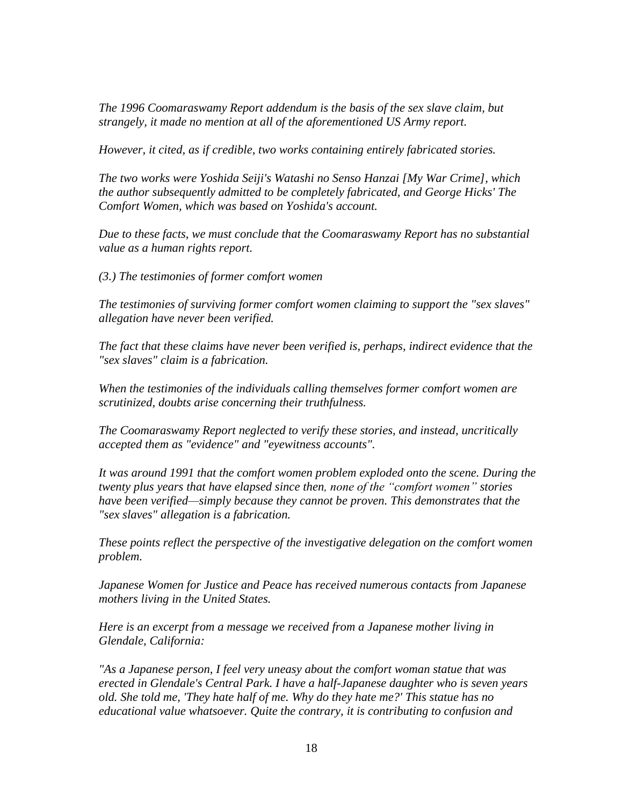*The 1996 Coomaraswamy Report addendum is the basis of the sex slave claim, but strangely, it made no mention at all of the aforementioned US Army report.*

*However, it cited, as if credible, two works containing entirely fabricated stories.*

*The two works were Yoshida Seiji's Watashi no Senso Hanzai [My War Crime], which the author subsequently admitted to be completely fabricated, and George Hicks' The Comfort Women, which was based on Yoshida's account.*

*Due to these facts, we must conclude that the Coomaraswamy Report has no substantial value as a human rights report.*

*(3.) The testimonies of former comfort women*

*The testimonies of surviving former comfort women claiming to support the "sex slaves" allegation have never been verified.*

*The fact that these claims have never been verified is, perhaps, indirect evidence that the "sex slaves" claim is a fabrication.*

*When the testimonies of the individuals calling themselves former comfort women are scrutinized, doubts arise concerning their truthfulness.*

*The Coomaraswamy Report neglected to verify these stories, and instead, uncritically accepted them as "evidence" and "eyewitness accounts".*

*It was around 1991 that the comfort women problem exploded onto the scene. During the twenty plus years that have elapsed since then, none of the "comfort women" stories have been verified—simply because they cannot be proven. This demonstrates that the "sex slaves" allegation is a fabrication.*

*These points reflect the perspective of the investigative delegation on the comfort women problem.*

*Japanese Women for Justice and Peace has received numerous contacts from Japanese mothers living in the United States.*

*Here is an excerpt from a message we received from a Japanese mother living in Glendale, California:*

*"As a Japanese person, I feel very uneasy about the comfort woman statue that was erected in Glendale's Central Park. I have a half-Japanese daughter who is seven years old. She told me, 'They hate half of me. Why do they hate me?' This statue has no educational value whatsoever. Quite the contrary, it is contributing to confusion and*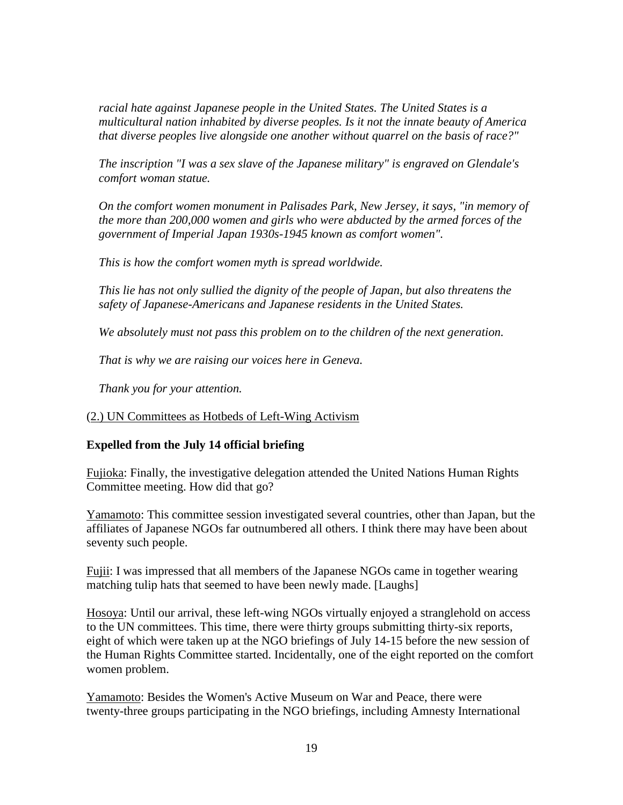*racial hate against Japanese people in the United States. The United States is a multicultural nation inhabited by diverse peoples. Is it not the innate beauty of America that diverse peoples live alongside one another without quarrel on the basis of race?"*

*The inscription "I was a sex slave of the Japanese military" is engraved on Glendale's comfort woman statue.*

*On the comfort women monument in Palisades Park, New Jersey, it says, "in memory of the more than 200,000 women and girls who were abducted by the armed forces of the government of Imperial Japan 1930s-1945 known as comfort women".*

*This is how the comfort women myth is spread worldwide.*

*This lie has not only sullied the dignity of the people of Japan, but also threatens the safety of Japanese-Americans and Japanese residents in the United States.*

*We absolutely must not pass this problem on to the children of the next generation.*

*That is why we are raising our voices here in Geneva.*

*Thank you for your attention.*

(2.) UN Committees as Hotbeds of Left-Wing Activism

## **Expelled from the July 14 official briefing**

Fujioka: Finally, the investigative delegation attended the United Nations Human Rights Committee meeting. How did that go?

Yamamoto: This committee session investigated several countries, other than Japan, but the affiliates of Japanese NGOs far outnumbered all others. I think there may have been about seventy such people.

Fujii: I was impressed that all members of the Japanese NGOs came in together wearing matching tulip hats that seemed to have been newly made. [Laughs]

Hosoya: Until our arrival, these left-wing NGOs virtually enjoyed a stranglehold on access to the UN committees. This time, there were thirty groups submitting thirty-six reports, eight of which were taken up at the NGO briefings of July 14-15 before the new session of the Human Rights Committee started. Incidentally, one of the eight reported on the comfort women problem.

Yamamoto: Besides the Women's Active Museum on War and Peace, there were twenty-three groups participating in the NGO briefings, including Amnesty International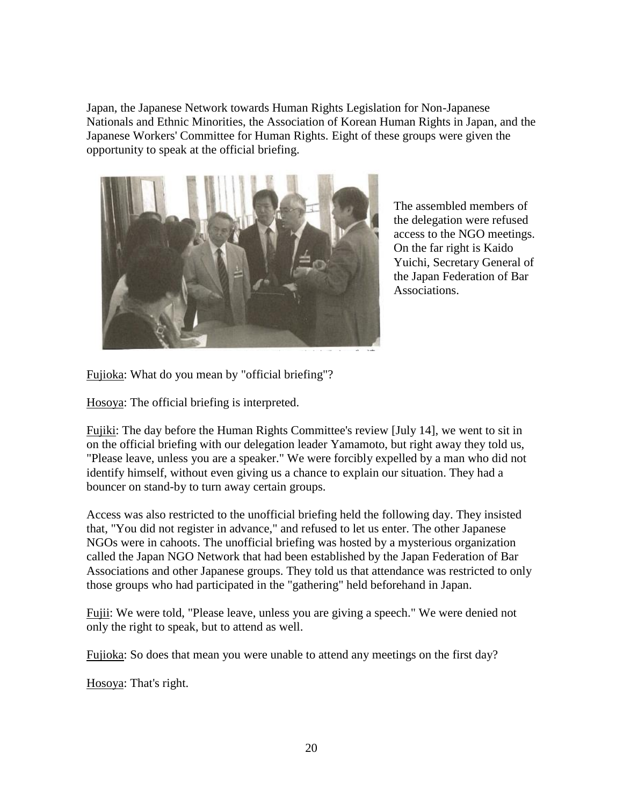Japan, the Japanese Network towards Human Rights Legislation for Non-Japanese Nationals and Ethnic Minorities, the Association of Korean Human Rights in Japan, and the Japanese Workers' Committee for Human Rights. Eight of these groups were given the opportunity to speak at the official briefing.



The assembled members of the delegation were refused access to the NGO meetings. On the far right is Kaido Yuichi, Secretary General of the Japan Federation of Bar Associations.

Fujioka: What do you mean by "official briefing"?

Hosoya: The official briefing is interpreted.

Fujiki: The day before the Human Rights Committee's review [July 14], we went to sit in on the official briefing with our delegation leader Yamamoto, but right away they told us, "Please leave, unless you are a speaker." We were forcibly expelled by a man who did not identify himself, without even giving us a chance to explain our situation. They had a bouncer on stand-by to turn away certain groups.

Access was also restricted to the unofficial briefing held the following day. They insisted that, "You did not register in advance," and refused to let us enter. The other Japanese NGOs were in cahoots. The unofficial briefing was hosted by a mysterious organization called the Japan NGO Network that had been established by the Japan Federation of Bar Associations and other Japanese groups. They told us that attendance was restricted to only those groups who had participated in the "gathering" held beforehand in Japan.

Fujii: We were told, "Please leave, unless you are giving a speech." We were denied not only the right to speak, but to attend as well.

Fujioka: So does that mean you were unable to attend any meetings on the first day?

Hosoya: That's right.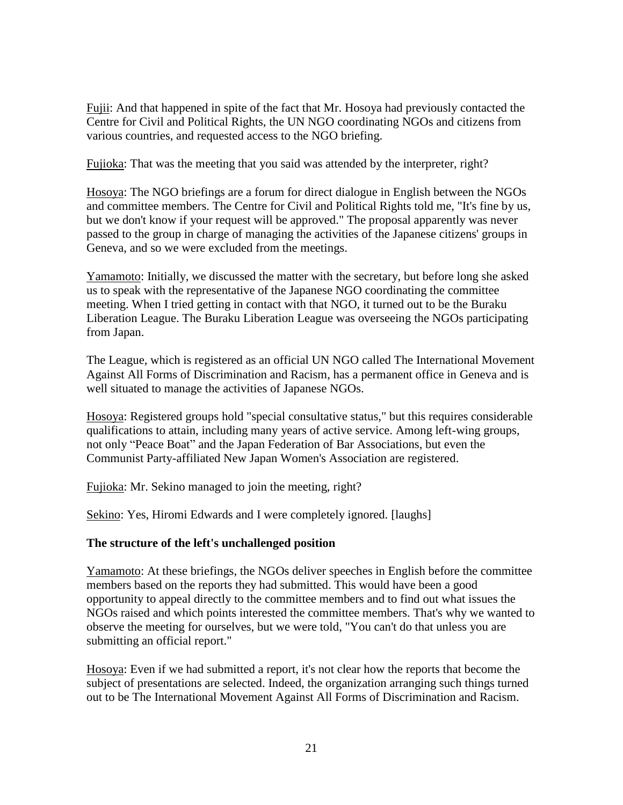Fujii: And that happened in spite of the fact that Mr. Hosoya had previously contacted the Centre for Civil and Political Rights, the UN NGO coordinating NGOs and citizens from various countries, and requested access to the NGO briefing.

Fujioka: That was the meeting that you said was attended by the interpreter, right?

Hosoya: The NGO briefings are a forum for direct dialogue in English between the NGOs and committee members. The Centre for Civil and Political Rights told me, "It's fine by us, but we don't know if your request will be approved." The proposal apparently was never passed to the group in charge of managing the activities of the Japanese citizens' groups in Geneva, and so we were excluded from the meetings.

Yamamoto: Initially, we discussed the matter with the secretary, but before long she asked us to speak with the representative of the Japanese NGO coordinating the committee meeting. When I tried getting in contact with that NGO, it turned out to be the Buraku Liberation League. The Buraku Liberation League was overseeing the NGOs participating from Japan.

The League, which is registered as an official UN NGO called The International Movement Against All Forms of Discrimination and Racism, has a permanent office in Geneva and is well situated to manage the activities of Japanese NGOs.

Hosoya: Registered groups hold "special consultative status," but this requires considerable qualifications to attain, including many years of active service. Among left-wing groups, not only "Peace Boat" and the Japan Federation of Bar Associations, but even the Communist Party-affiliated New Japan Women's Association are registered.

Fujioka: Mr. Sekino managed to join the meeting, right?

Sekino: Yes, Hiromi Edwards and I were completely ignored. [laughs]

#### **The structure of the left's unchallenged position**

Yamamoto: At these briefings, the NGOs deliver speeches in English before the committee members based on the reports they had submitted. This would have been a good opportunity to appeal directly to the committee members and to find out what issues the NGOs raised and which points interested the committee members. That's why we wanted to observe the meeting for ourselves, but we were told, "You can't do that unless you are submitting an official report."

Hosoya: Even if we had submitted a report, it's not clear how the reports that become the subject of presentations are selected. Indeed, the organization arranging such things turned out to be The International Movement Against All Forms of Discrimination and Racism.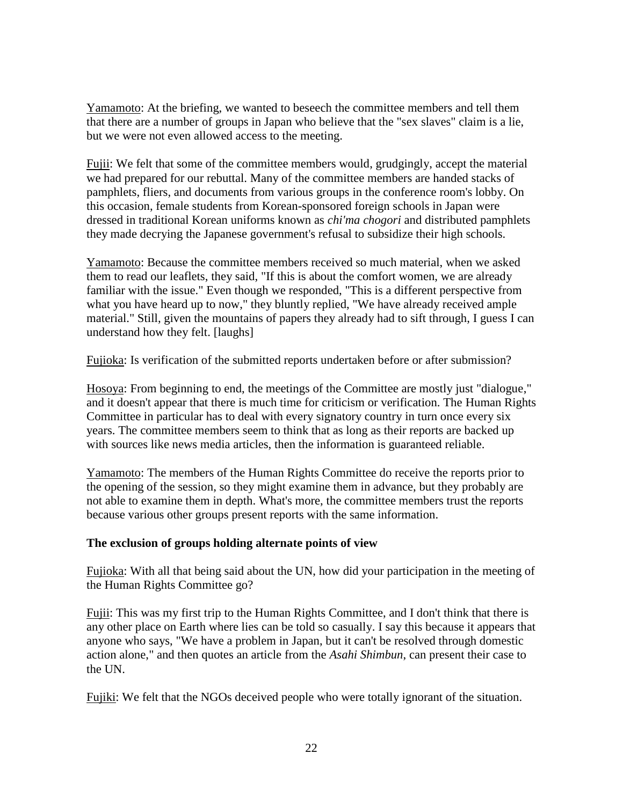Yamamoto: At the briefing, we wanted to beseech the committee members and tell them that there are a number of groups in Japan who believe that the "sex slaves" claim is a lie, but we were not even allowed access to the meeting.

Fujii: We felt that some of the committee members would, grudgingly, accept the material we had prepared for our rebuttal. Many of the committee members are handed stacks of pamphlets, fliers, and documents from various groups in the conference room's lobby. On this occasion, female students from Korean-sponsored foreign schools in Japan were dressed in traditional Korean uniforms known as *chi'ma chogori* and distributed pamphlets they made decrying the Japanese government's refusal to subsidize their high schools.

Yamamoto: Because the committee members received so much material, when we asked them to read our leaflets, they said, "If this is about the comfort women, we are already familiar with the issue." Even though we responded, "This is a different perspective from what you have heard up to now," they bluntly replied, "We have already received ample material." Still, given the mountains of papers they already had to sift through, I guess I can understand how they felt. [laughs]

Fujioka: Is verification of the submitted reports undertaken before or after submission?

Hosoya: From beginning to end, the meetings of the Committee are mostly just "dialogue," and it doesn't appear that there is much time for criticism or verification. The Human Rights Committee in particular has to deal with every signatory country in turn once every six years. The committee members seem to think that as long as their reports are backed up with sources like news media articles, then the information is guaranteed reliable.

Yamamoto: The members of the Human Rights Committee do receive the reports prior to the opening of the session, so they might examine them in advance, but they probably are not able to examine them in depth. What's more, the committee members trust the reports because various other groups present reports with the same information.

## **The exclusion of groups holding alternate points of view**

Fujioka: With all that being said about the UN, how did your participation in the meeting of the Human Rights Committee go?

Fujii: This was my first trip to the Human Rights Committee, and I don't think that there is any other place on Earth where lies can be told so casually. I say this because it appears that anyone who says, "We have a problem in Japan, but it can't be resolved through domestic action alone," and then quotes an article from the *Asahi Shimbun*, can present their case to the UN.

Fujiki: We felt that the NGOs deceived people who were totally ignorant of the situation.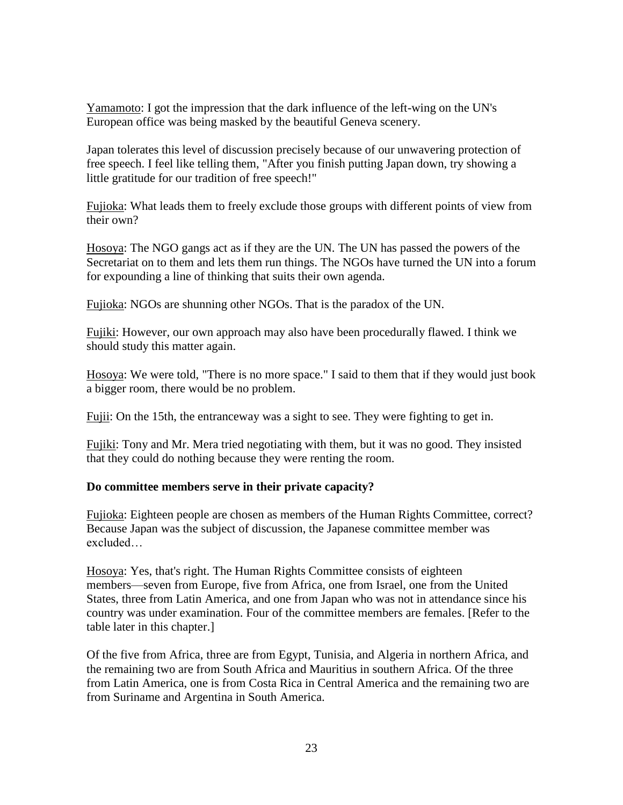Yamamoto: I got the impression that the dark influence of the left-wing on the UN's European office was being masked by the beautiful Geneva scenery.

Japan tolerates this level of discussion precisely because of our unwavering protection of free speech. I feel like telling them, "After you finish putting Japan down, try showing a little gratitude for our tradition of free speech!"

Fujioka: What leads them to freely exclude those groups with different points of view from their own?

Hosoya: The NGO gangs act as if they are the UN. The UN has passed the powers of the Secretariat on to them and lets them run things. The NGOs have turned the UN into a forum for expounding a line of thinking that suits their own agenda.

Fujioka: NGOs are shunning other NGOs. That is the paradox of the UN.

Fujiki: However, our own approach may also have been procedurally flawed. I think we should study this matter again.

Hosoya: We were told, "There is no more space." I said to them that if they would just book a bigger room, there would be no problem.

Fujii: On the 15th, the entranceway was a sight to see. They were fighting to get in.

Fujiki: Tony and Mr. Mera tried negotiating with them, but it was no good. They insisted that they could do nothing because they were renting the room.

#### **Do committee members serve in their private capacity?**

Fujioka: Eighteen people are chosen as members of the Human Rights Committee, correct? Because Japan was the subject of discussion, the Japanese committee member was excluded…

Hosoya: Yes, that's right. The Human Rights Committee consists of eighteen members—seven from Europe, five from Africa, one from Israel, one from the United States, three from Latin America, and one from Japan who was not in attendance since his country was under examination. Four of the committee members are females. [Refer to the table later in this chapter.]

Of the five from Africa, three are from Egypt, Tunisia, and Algeria in northern Africa, and the remaining two are from South Africa and Mauritius in southern Africa. Of the three from Latin America, one is from Costa Rica in Central America and the remaining two are from Suriname and Argentina in South America.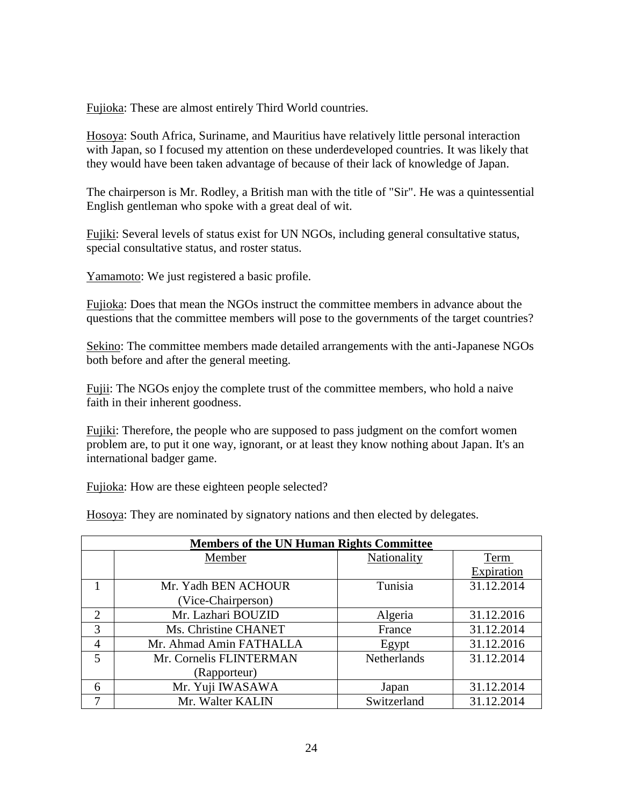Fujioka: These are almost entirely Third World countries.

Hosoya: South Africa, Suriname, and Mauritius have relatively little personal interaction with Japan, so I focused my attention on these underdeveloped countries. It was likely that they would have been taken advantage of because of their lack of knowledge of Japan.

The chairperson is Mr. Rodley, a British man with the title of "Sir". He was a quintessential English gentleman who spoke with a great deal of wit.

Fujiki: Several levels of status exist for UN NGOs, including general consultative status, special consultative status, and roster status.

Yamamoto: We just registered a basic profile.

Fujioka: Does that mean the NGOs instruct the committee members in advance about the questions that the committee members will pose to the governments of the target countries?

Sekino: The committee members made detailed arrangements with the anti-Japanese NGOs both before and after the general meeting.

Fujii: The NGOs enjoy the complete trust of the committee members, who hold a naive faith in their inherent goodness.

Fujiki: Therefore, the people who are supposed to pass judgment on the comfort women problem are, to put it one way, ignorant, or at least they know nothing about Japan. It's an international badger game.

Fujioka: How are these eighteen people selected?

Hosoya: They are nominated by signatory nations and then elected by delegates.

| <b>Members of the UN Human Rights Committee</b> |                         |                    |            |  |
|-------------------------------------------------|-------------------------|--------------------|------------|--|
|                                                 | Member                  | Nationality        | Term       |  |
|                                                 |                         |                    | Expiration |  |
|                                                 | Mr. Yadh BEN ACHOUR     | Tunisia            | 31.12.2014 |  |
|                                                 | (Vice-Chairperson)      |                    |            |  |
| $\mathcal{D}_{\mathcal{L}}$                     | Mr. Lazhari BOUZID      | Algeria            | 31.12.2016 |  |
| 3                                               | Ms. Christine CHANET    | France             | 31.12.2014 |  |
| $\overline{4}$                                  | Mr. Ahmad Amin FATHALLA | Egypt              | 31.12.2016 |  |
| 5                                               | Mr. Cornelis FLINTERMAN | <b>Netherlands</b> | 31.12.2014 |  |
|                                                 | (Rapporteur)            |                    |            |  |
| 6                                               | Mr. Yuji IWASAWA        | Japan              | 31.12.2014 |  |
| 7                                               | Mr. Walter KALIN        | Switzerland        | 31.12.2014 |  |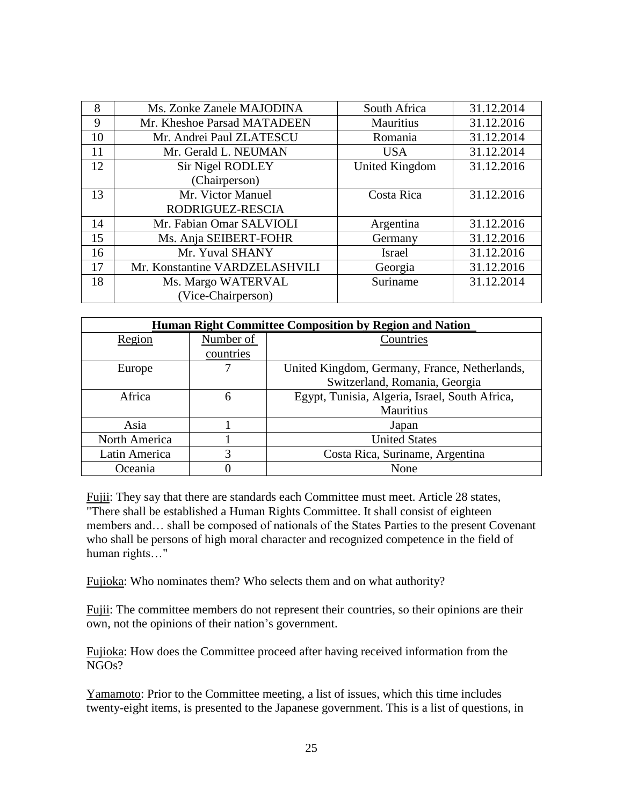| 8  | Ms. Zonke Zanele MAJODINA      | South Africa   | 31.12.2014 |
|----|--------------------------------|----------------|------------|
| 9  | Mr. Kheshoe Parsad MATADEEN    | Mauritius      | 31.12.2016 |
| 10 | Mr. Andrei Paul ZLATESCU       | Romania        | 31.12.2014 |
| 11 | Mr. Gerald L. NEUMAN           | <b>USA</b>     | 31.12.2014 |
| 12 | <b>Sir Nigel RODLEY</b>        | United Kingdom | 31.12.2016 |
|    | (Chairperson)                  |                |            |
| 13 | Mr. Victor Manuel              | Costa Rica     | 31.12.2016 |
|    | RODRIGUEZ-RESCIA               |                |            |
| 14 | Mr. Fabian Omar SALVIOLI       | Argentina      | 31.12.2016 |
| 15 | Ms. Anja SEIBERT-FOHR          | Germany        | 31.12.2016 |
| 16 | Mr. Yuval SHANY                | <b>Israel</b>  | 31.12.2016 |
| 17 | Mr. Konstantine VARDZELASHVILI | Georgia        | 31.12.2016 |
| 18 | Ms. Margo WATERVAL             | Suriname       | 31.12.2014 |
|    | (Vice-Chairperson)             |                |            |

| <b>Human Right Committee Composition by Region and Nation</b> |           |                                                |  |  |
|---------------------------------------------------------------|-----------|------------------------------------------------|--|--|
| Region                                                        | Number of | Countries                                      |  |  |
|                                                               | countries |                                                |  |  |
| Europe                                                        |           | United Kingdom, Germany, France, Netherlands,  |  |  |
|                                                               |           | Switzerland, Romania, Georgia                  |  |  |
| Africa                                                        | 6         | Egypt, Tunisia, Algeria, Israel, South Africa, |  |  |
|                                                               |           | Mauritius                                      |  |  |
| Asia                                                          |           | Japan                                          |  |  |
| North America                                                 |           | <b>United States</b>                           |  |  |
| Latin America                                                 | 3         | Costa Rica, Suriname, Argentina                |  |  |
| Oceania                                                       |           | None                                           |  |  |

Fujii: They say that there are standards each Committee must meet. Article 28 states, "There shall be established a Human Rights Committee. It shall consist of eighteen members and… shall be composed of nationals of the States Parties to the present Covenant who shall be persons of high moral character and recognized competence in the field of human rights…"

Fujioka: Who nominates them? Who selects them and on what authority?

Fujii: The committee members do not represent their countries, so their opinions are their own, not the opinions of their nation's government.

Fujioka: How does the Committee proceed after having received information from the NGOs?

Yamamoto: Prior to the Committee meeting, a list of issues, which this time includes twenty-eight items, is presented to the Japanese government. This is a list of questions, in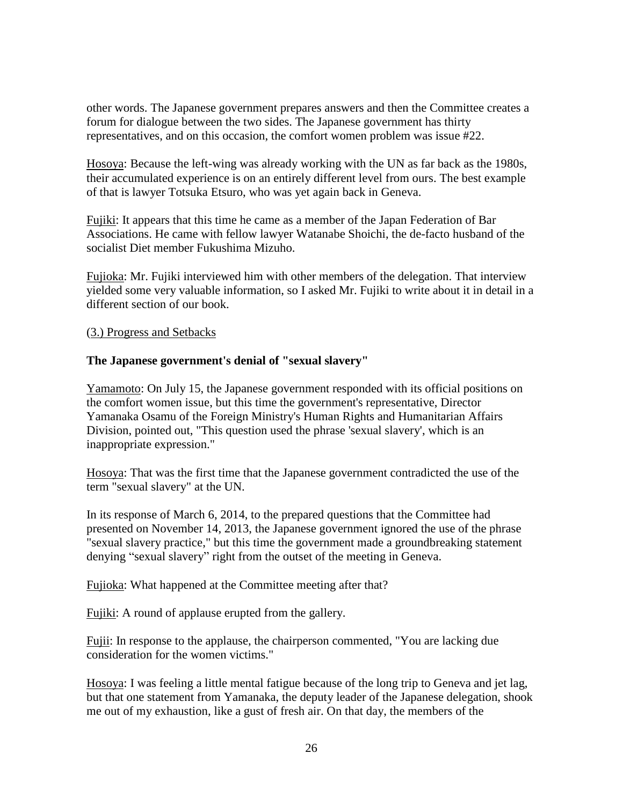other words. The Japanese government prepares answers and then the Committee creates a forum for dialogue between the two sides. The Japanese government has thirty representatives, and on this occasion, the comfort women problem was issue #22.

Hosoya: Because the left-wing was already working with the UN as far back as the 1980s, their accumulated experience is on an entirely different level from ours. The best example of that is lawyer Totsuka Etsuro, who was yet again back in Geneva.

Fujiki: It appears that this time he came as a member of the Japan Federation of Bar Associations. He came with fellow lawyer Watanabe Shoichi, the de-facto husband of the socialist Diet member Fukushima Mizuho.

Fujioka: Mr. Fujiki interviewed him with other members of the delegation. That interview yielded some very valuable information, so I asked Mr. Fujiki to write about it in detail in a different section of our book.

(3.) Progress and Setbacks

#### **The Japanese government's denial of "sexual slavery"**

Yamamoto: On July 15, the Japanese government responded with its official positions on the comfort women issue, but this time the government's representative, Director Yamanaka Osamu of the Foreign Ministry's Human Rights and Humanitarian Affairs Division, pointed out, "This question used the phrase 'sexual slavery', which is an inappropriate expression."

Hosoya: That was the first time that the Japanese government contradicted the use of the term "sexual slavery" at the UN.

In its response of March 6, 2014, to the prepared questions that the Committee had presented on November 14, 2013, the Japanese government ignored the use of the phrase "sexual slavery practice," but this time the government made a groundbreaking statement denying "sexual slavery" right from the outset of the meeting in Geneva.

Fujioka: What happened at the Committee meeting after that?

Fujiki: A round of applause erupted from the gallery.

Fujii: In response to the applause, the chairperson commented, "You are lacking due consideration for the women victims."

Hosoya: I was feeling a little mental fatigue because of the long trip to Geneva and jet lag, but that one statement from Yamanaka, the deputy leader of the Japanese delegation, shook me out of my exhaustion, like a gust of fresh air. On that day, the members of the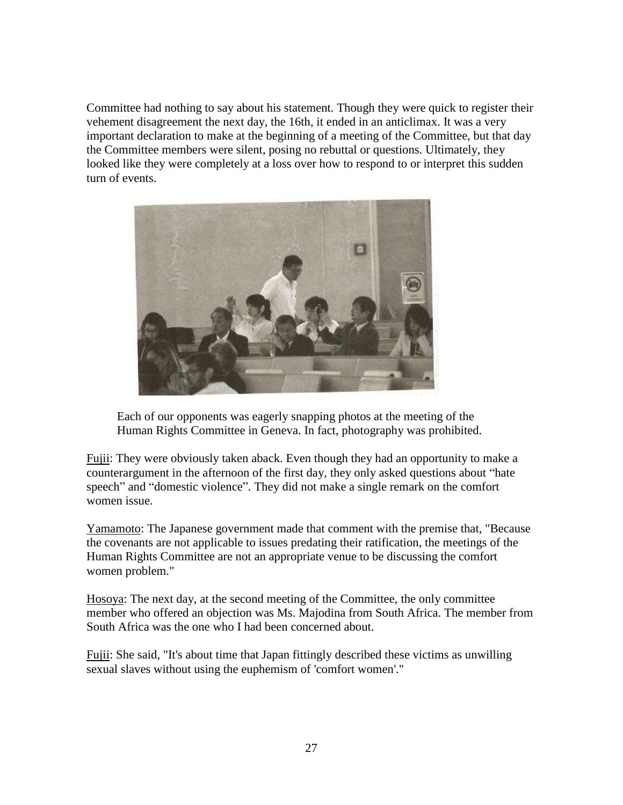Committee had nothing to say about his statement. Though they were quick to register their vehement disagreement the next day, the 16th, it ended in an anticlimax. It was a very important declaration to make at the beginning of a meeting of the Committee, but that day the Committee members were silent, posing no rebuttal or questions. Ultimately, they looked like they were completely at a loss over how to respond to or interpret this sudden turn of events.



Each of our opponents was eagerly snapping photos at the meeting of the Human Rights Committee in Geneva. In fact, photography was prohibited.

Fujii: They were obviously taken aback. Even though they had an opportunity to make a counterargument in the afternoon of the first day, they only asked questions about "hate speech" and "domestic violence". They did not make a single remark on the comfort women issue.

Yamamoto: The Japanese government made that comment with the premise that, "Because the covenants are not applicable to issues predating their ratification, the meetings of the Human Rights Committee are not an appropriate venue to be discussing the comfort women problem."

Hosoya: The next day, at the second meeting of the Committee, the only committee member who offered an objection was Ms. Majodina from South Africa. The member from South Africa was the one who I had been concerned about.

Fujii: She said, "It's about time that Japan fittingly described these victims as unwilling sexual slaves without using the euphemism of 'comfort women'."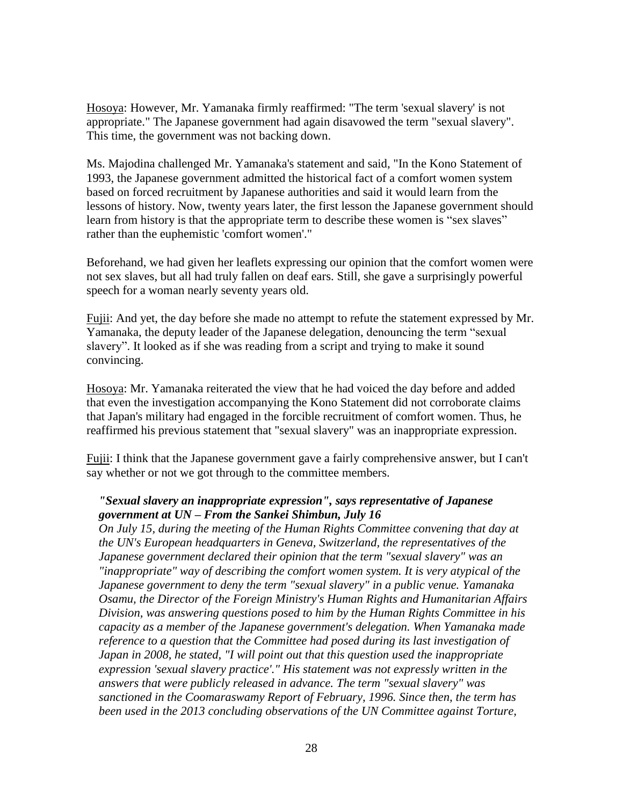Hosoya: However, Mr. Yamanaka firmly reaffirmed: "The term 'sexual slavery' is not appropriate." The Japanese government had again disavowed the term "sexual slavery". This time, the government was not backing down.

Ms. Majodina challenged Mr. Yamanaka's statement and said, "In the Kono Statement of 1993, the Japanese government admitted the historical fact of a comfort women system based on forced recruitment by Japanese authorities and said it would learn from the lessons of history. Now, twenty years later, the first lesson the Japanese government should learn from history is that the appropriate term to describe these women is "sex slaves" rather than the euphemistic 'comfort women'."

Beforehand, we had given her leaflets expressing our opinion that the comfort women were not sex slaves, but all had truly fallen on deaf ears. Still, she gave a surprisingly powerful speech for a woman nearly seventy years old.

Fujii: And yet, the day before she made no attempt to refute the statement expressed by Mr. Yamanaka, the deputy leader of the Japanese delegation, denouncing the term "sexual slavery". It looked as if she was reading from a script and trying to make it sound convincing.

Hosoya: Mr. Yamanaka reiterated the view that he had voiced the day before and added that even the investigation accompanying the Kono Statement did not corroborate claims that Japan's military had engaged in the forcible recruitment of comfort women. Thus, he reaffirmed his previous statement that "sexual slavery" was an inappropriate expression.

Fujii: I think that the Japanese government gave a fairly comprehensive answer, but I can't say whether or not we got through to the committee members.

### *"Sexual slavery an inappropriate expression", says representative of Japanese government at UN – From the Sankei Shimbun, July 16*

*On July 15, during the meeting of the Human Rights Committee convening that day at the UN's European headquarters in Geneva, Switzerland, the representatives of the Japanese government declared their opinion that the term "sexual slavery" was an "inappropriate" way of describing the comfort women system. It is very atypical of the Japanese government to deny the term "sexual slavery" in a public venue. Yamanaka Osamu, the Director of the Foreign Ministry's Human Rights and Humanitarian Affairs Division, was answering questions posed to him by the Human Rights Committee in his capacity as a member of the Japanese government's delegation. When Yamanaka made reference to a question that the Committee had posed during its last investigation of Japan in 2008, he stated, "I will point out that this question used the inappropriate expression 'sexual slavery practice'." His statement was not expressly written in the answers that were publicly released in advance. The term "sexual slavery" was sanctioned in the Coomaraswamy Report of February, 1996. Since then, the term has been used in the 2013 concluding observations of the UN Committee against Torture,*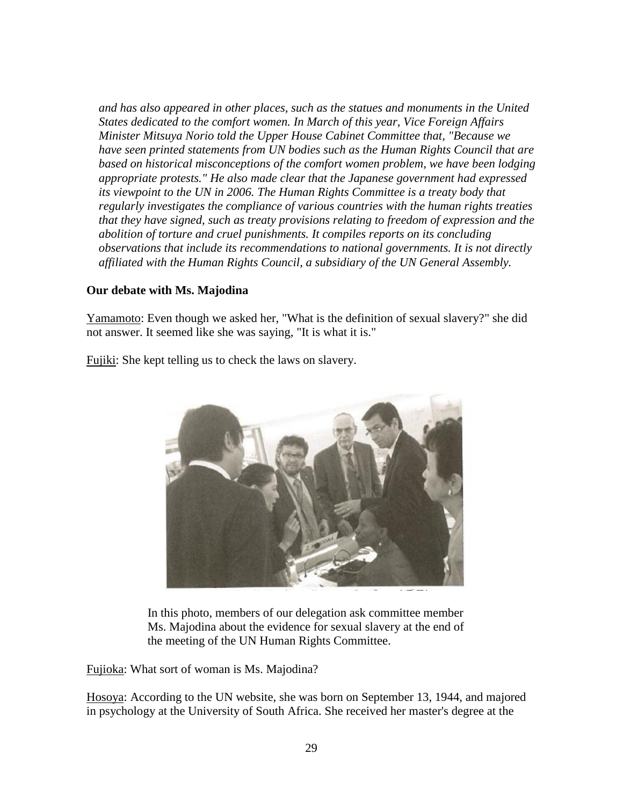*and has also appeared in other places, such as the statues and monuments in the United States dedicated to the comfort women. In March of this year, Vice Foreign Affairs Minister Mitsuya Norio told the Upper House Cabinet Committee that, "Because we have seen printed statements from UN bodies such as the Human Rights Council that are based on historical misconceptions of the comfort women problem, we have been lodging appropriate protests." He also made clear that the Japanese government had expressed its viewpoint to the UN in 2006. The Human Rights Committee is a treaty body that regularly investigates the compliance of various countries with the human rights treaties that they have signed, such as treaty provisions relating to freedom of expression and the abolition of torture and cruel punishments. It compiles reports on its concluding observations that include its recommendations to national governments. It is not directly affiliated with the Human Rights Council, a subsidiary of the UN General Assembly.*

#### **Our debate with Ms. Majodina**

Yamamoto: Even though we asked her, "What is the definition of sexual slavery?" she did not answer. It seemed like she was saying, "It is what it is."



Fujiki: She kept telling us to check the laws on slavery.

In this photo, members of our delegation ask committee member Ms. Majodina about the evidence for sexual slavery at the end of the meeting of the UN Human Rights Committee.

Fujioka: What sort of woman is Ms. Majodina?

Hosoya: According to the UN website, she was born on September 13, 1944, and majored in psychology at the University of South Africa. She received her master's degree at the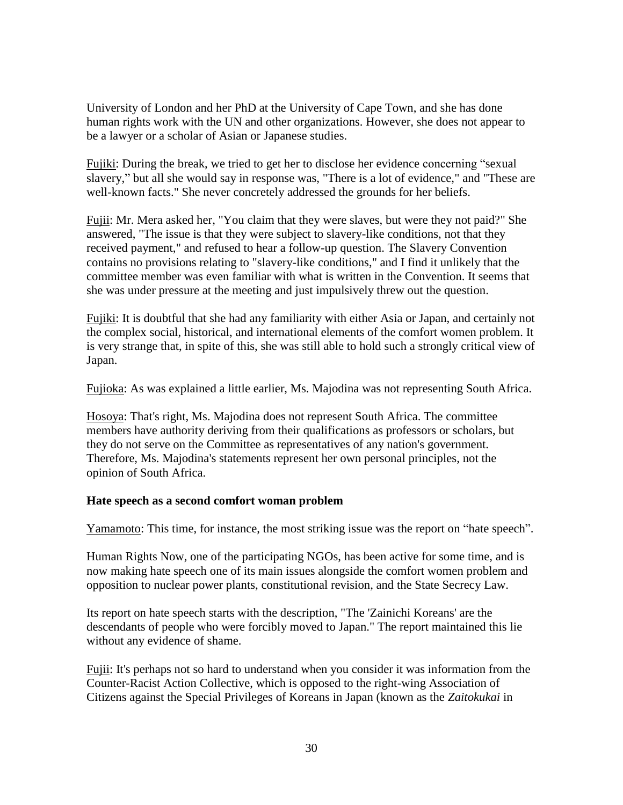University of London and her PhD at the University of Cape Town, and she has done human rights work with the UN and other organizations. However, she does not appear to be a lawyer or a scholar of Asian or Japanese studies.

Fujiki: During the break, we tried to get her to disclose her evidence concerning "sexual slavery," but all she would say in response was, "There is a lot of evidence," and "These are well-known facts." She never concretely addressed the grounds for her beliefs.

Fujii: Mr. Mera asked her, "You claim that they were slaves, but were they not paid?" She answered, "The issue is that they were subject to slavery-like conditions, not that they received payment," and refused to hear a follow-up question. The Slavery Convention contains no provisions relating to "slavery-like conditions," and I find it unlikely that the committee member was even familiar with what is written in the Convention. It seems that she was under pressure at the meeting and just impulsively threw out the question.

Fujiki: It is doubtful that she had any familiarity with either Asia or Japan, and certainly not the complex social, historical, and international elements of the comfort women problem. It is very strange that, in spite of this, she was still able to hold such a strongly critical view of Japan.

Fujioka: As was explained a little earlier, Ms. Majodina was not representing South Africa.

Hosoya: That's right, Ms. Majodina does not represent South Africa. The committee members have authority deriving from their qualifications as professors or scholars, but they do not serve on the Committee as representatives of any nation's government. Therefore, Ms. Majodina's statements represent her own personal principles, not the opinion of South Africa.

## **Hate speech as a second comfort woman problem**

Yamamoto: This time, for instance, the most striking issue was the report on "hate speech".

Human Rights Now, one of the participating NGOs, has been active for some time, and is now making hate speech one of its main issues alongside the comfort women problem and opposition to nuclear power plants, constitutional revision, and the State Secrecy Law.

Its report on hate speech starts with the description, "The 'Zainichi Koreans' are the descendants of people who were forcibly moved to Japan." The report maintained this lie without any evidence of shame.

Fujii: It's perhaps not so hard to understand when you consider it was information from the Counter-Racist Action Collective, which is opposed to the right-wing Association of Citizens against the Special Privileges of Koreans in Japan (known as the *Zaitokukai* in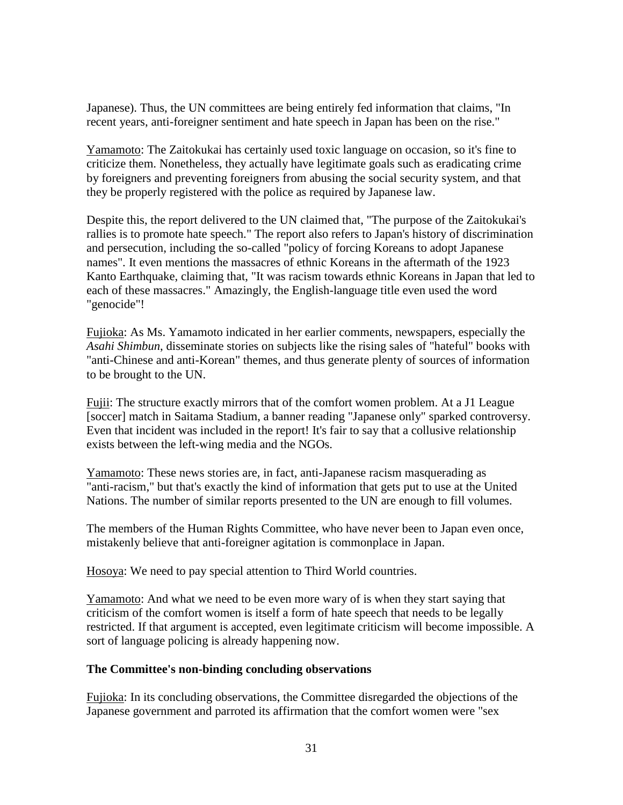Japanese). Thus, the UN committees are being entirely fed information that claims, "In recent years, anti-foreigner sentiment and hate speech in Japan has been on the rise."

Yamamoto: The Zaitokukai has certainly used toxic language on occasion, so it's fine to criticize them. Nonetheless, they actually have legitimate goals such as eradicating crime by foreigners and preventing foreigners from abusing the social security system, and that they be properly registered with the police as required by Japanese law.

Despite this, the report delivered to the UN claimed that, "The purpose of the Zaitokukai's rallies is to promote hate speech." The report also refers to Japan's history of discrimination and persecution, including the so-called "policy of forcing Koreans to adopt Japanese names". It even mentions the massacres of ethnic Koreans in the aftermath of the 1923 Kanto Earthquake, claiming that, "It was racism towards ethnic Koreans in Japan that led to each of these massacres." Amazingly, the English-language title even used the word "genocide"!

Fujioka: As Ms. Yamamoto indicated in her earlier comments, newspapers, especially the *Asahi Shimbun*, disseminate stories on subjects like the rising sales of "hateful" books with "anti-Chinese and anti-Korean" themes, and thus generate plenty of sources of information to be brought to the UN.

Fujii: The structure exactly mirrors that of the comfort women problem. At a J1 League [soccer] match in Saitama Stadium, a banner reading "Japanese only" sparked controversy. Even that incident was included in the report! It's fair to say that a collusive relationship exists between the left-wing media and the NGOs.

Yamamoto: These news stories are, in fact, anti-Japanese racism masquerading as "anti-racism," but that's exactly the kind of information that gets put to use at the United Nations. The number of similar reports presented to the UN are enough to fill volumes.

The members of the Human Rights Committee, who have never been to Japan even once, mistakenly believe that anti-foreigner agitation is commonplace in Japan.

Hosoya: We need to pay special attention to Third World countries.

Yamamoto: And what we need to be even more wary of is when they start saying that criticism of the comfort women is itself a form of hate speech that needs to be legally restricted. If that argument is accepted, even legitimate criticism will become impossible. A sort of language policing is already happening now.

#### **The Committee's non-binding concluding observations**

Fujioka: In its concluding observations, the Committee disregarded the objections of the Japanese government and parroted its affirmation that the comfort women were "sex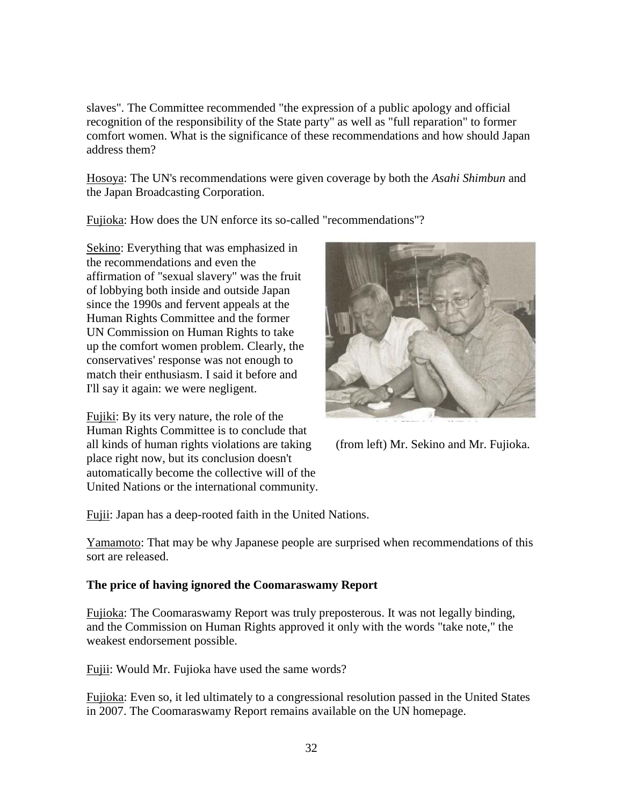slaves". The Committee recommended "the expression of a public apology and official recognition of the responsibility of the State party" as well as "full reparation" to former comfort women. What is the significance of these recommendations and how should Japan address them?

Hosoya: The UN's recommendations were given coverage by both the *Asahi Shimbun* and the Japan Broadcasting Corporation.

Fujioka: How does the UN enforce its so-called "recommendations"?

Sekino: Everything that was emphasized in the recommendations and even the affirmation of "sexual slavery" was the fruit of lobbying both inside and outside Japan since the 1990s and fervent appeals at the Human Rights Committee and the former UN Commission on Human Rights to take up the comfort women problem. Clearly, the conservatives' response was not enough to match their enthusiasm. I said it before and I'll say it again: we were negligent.

Fujiki: By its very nature, the role of the Human Rights Committee is to conclude that all kinds of human rights violations are taking (from left) Mr. Sekino and Mr. Fujioka. place right now, but its conclusion doesn't automatically become the collective will of the United Nations or the international community.



Fujii: Japan has a deep-rooted faith in the United Nations.

Yamamoto: That may be why Japanese people are surprised when recommendations of this sort are released.

## **The price of having ignored the Coomaraswamy Report**

Fujioka: The Coomaraswamy Report was truly preposterous. It was not legally binding, and the Commission on Human Rights approved it only with the words "take note," the weakest endorsement possible.

Fujii: Would Mr. Fujioka have used the same words?

Fujioka: Even so, it led ultimately to a congressional resolution passed in the United States in 2007. The Coomaraswamy Report remains available on the UN homepage.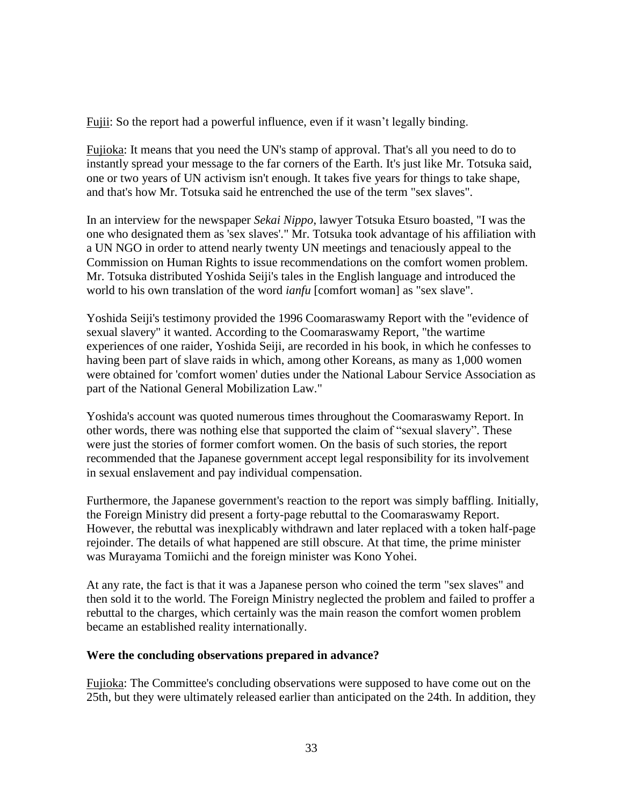Fujii: So the report had a powerful influence, even if it wasn't legally binding.

Fujioka: It means that you need the UN's stamp of approval. That's all you need to do to instantly spread your message to the far corners of the Earth. It's just like Mr. Totsuka said, one or two years of UN activism isn't enough. It takes five years for things to take shape, and that's how Mr. Totsuka said he entrenched the use of the term "sex slaves".

In an interview for the newspaper *Sekai Nippo*, lawyer Totsuka Etsuro boasted, "I was the one who designated them as 'sex slaves'." Mr. Totsuka took advantage of his affiliation with a UN NGO in order to attend nearly twenty UN meetings and tenaciously appeal to the Commission on Human Rights to issue recommendations on the comfort women problem. Mr. Totsuka distributed Yoshida Seiji's tales in the English language and introduced the world to his own translation of the word *ianfu* [comfort woman] as "sex slave".

Yoshida Seiji's testimony provided the 1996 Coomaraswamy Report with the "evidence of sexual slavery" it wanted. According to the Coomaraswamy Report, "the wartime experiences of one raider, Yoshida Seiji, are recorded in his book, in which he confesses to having been part of slave raids in which, among other Koreans, as many as 1,000 women were obtained for 'comfort women' duties under the National Labour Service Association as part of the National General Mobilization Law."

Yoshida's account was quoted numerous times throughout the Coomaraswamy Report. In other words, there was nothing else that supported the claim of "sexual slavery". These were just the stories of former comfort women. On the basis of such stories, the report recommended that the Japanese government accept legal responsibility for its involvement in sexual enslavement and pay individual compensation.

Furthermore, the Japanese government's reaction to the report was simply baffling. Initially, the Foreign Ministry did present a forty-page rebuttal to the Coomaraswamy Report. However, the rebuttal was inexplicably withdrawn and later replaced with a token half-page rejoinder. The details of what happened are still obscure. At that time, the prime minister was Murayama Tomiichi and the foreign minister was Kono Yohei.

At any rate, the fact is that it was a Japanese person who coined the term "sex slaves" and then sold it to the world. The Foreign Ministry neglected the problem and failed to proffer a rebuttal to the charges, which certainly was the main reason the comfort women problem became an established reality internationally.

#### **Were the concluding observations prepared in advance?**

Fujioka: The Committee's concluding observations were supposed to have come out on the 25th, but they were ultimately released earlier than anticipated on the 24th. In addition, they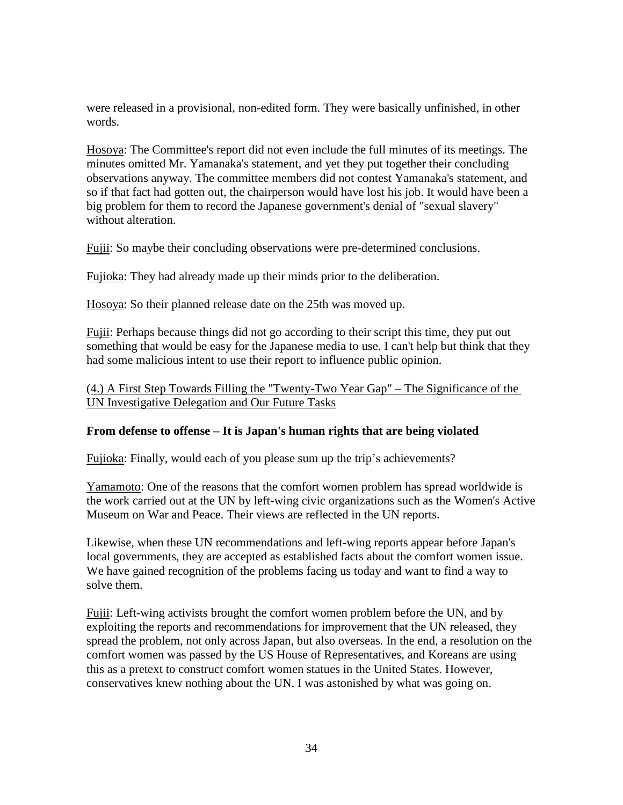were released in a provisional, non-edited form. They were basically unfinished, in other words.

Hosoya: The Committee's report did not even include the full minutes of its meetings. The minutes omitted Mr. Yamanaka's statement, and yet they put together their concluding observations anyway. The committee members did not contest Yamanaka's statement, and so if that fact had gotten out, the chairperson would have lost his job. It would have been a big problem for them to record the Japanese government's denial of "sexual slavery" without alteration.

Fujii: So maybe their concluding observations were pre-determined conclusions.

Fujioka: They had already made up their minds prior to the deliberation.

Hosoya: So their planned release date on the 25th was moved up.

Fujii: Perhaps because things did not go according to their script this time, they put out something that would be easy for the Japanese media to use. I can't help but think that they had some malicious intent to use their report to influence public opinion.

## (4.) A First Step Towards Filling the "Twenty-Two Year Gap" – The Significance of the UN Investigative Delegation and Our Future Tasks

## **From defense to offense – It is Japan's human rights that are being violated**

Fujioka: Finally, would each of you please sum up the trip's achievements?

Yamamoto: One of the reasons that the comfort women problem has spread worldwide is the work carried out at the UN by left-wing civic organizations such as the Women's Active Museum on War and Peace. Their views are reflected in the UN reports.

Likewise, when these UN recommendations and left-wing reports appear before Japan's local governments, they are accepted as established facts about the comfort women issue. We have gained recognition of the problems facing us today and want to find a way to solve them.

Fujii: Left-wing activists brought the comfort women problem before the UN, and by exploiting the reports and recommendations for improvement that the UN released, they spread the problem, not only across Japan, but also overseas. In the end, a resolution on the comfort women was passed by the US House of Representatives, and Koreans are using this as a pretext to construct comfort women statues in the United States. However, conservatives knew nothing about the UN. I was astonished by what was going on.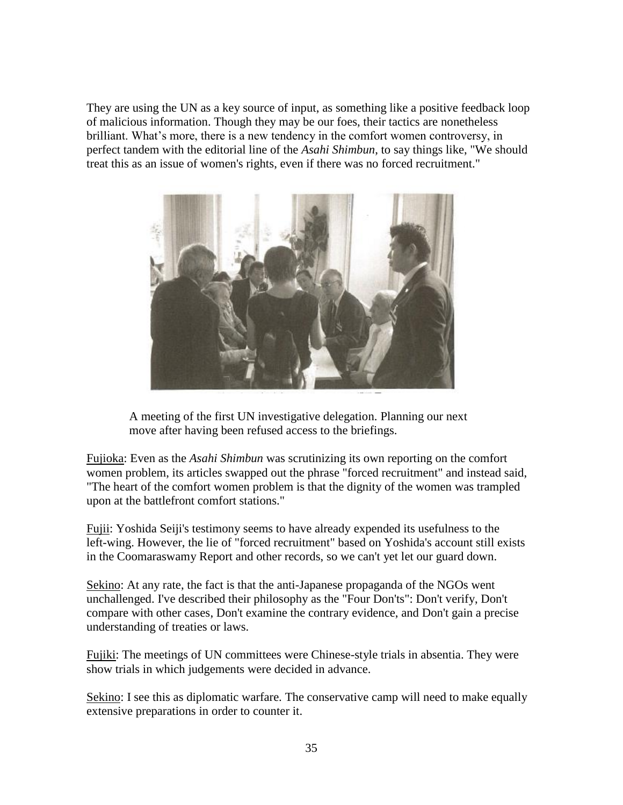They are using the UN as a key source of input, as something like a positive feedback loop of malicious information. Though they may be our foes, their tactics are nonetheless brilliant. What's more, there is a new tendency in the comfort women controversy, in perfect tandem with the editorial line of the *Asahi Shimbun*, to say things like, "We should treat this as an issue of women's rights, even if there was no forced recruitment."



A meeting of the first UN investigative delegation. Planning our next move after having been refused access to the briefings.

Fujioka: Even as the *Asahi Shimbun* was scrutinizing its own reporting on the comfort women problem, its articles swapped out the phrase "forced recruitment" and instead said, "The heart of the comfort women problem is that the dignity of the women was trampled upon at the battlefront comfort stations."

Fujii: Yoshida Seiji's testimony seems to have already expended its usefulness to the left-wing. However, the lie of "forced recruitment" based on Yoshida's account still exists in the Coomaraswamy Report and other records, so we can't yet let our guard down.

Sekino: At any rate, the fact is that the anti-Japanese propaganda of the NGOs went unchallenged. I've described their philosophy as the "Four Don'ts": Don't verify, Don't compare with other cases, Don't examine the contrary evidence, and Don't gain a precise understanding of treaties or laws.

Fujiki: The meetings of UN committees were Chinese-style trials in absentia. They were show trials in which judgements were decided in advance.

Sekino: I see this as diplomatic warfare. The conservative camp will need to make equally extensive preparations in order to counter it.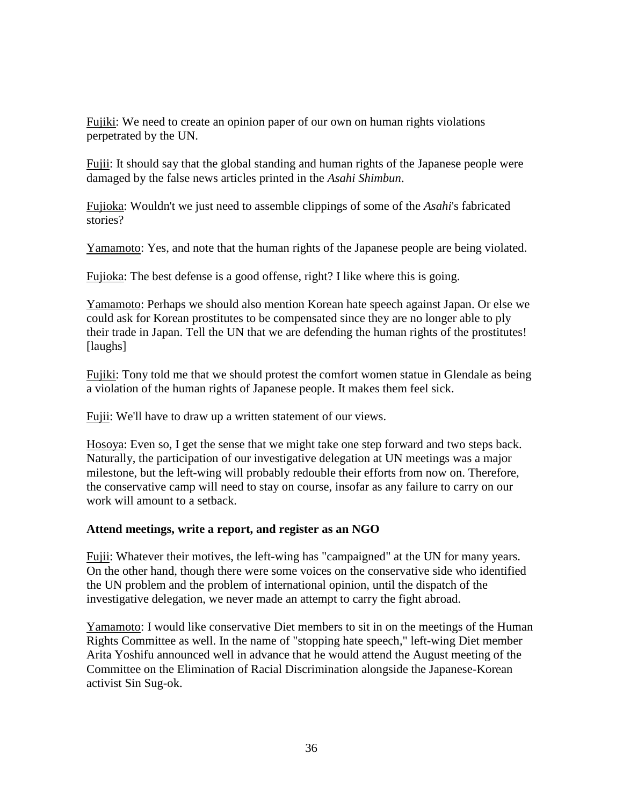Fujiki: We need to create an opinion paper of our own on human rights violations perpetrated by the UN.

Fujii: It should say that the global standing and human rights of the Japanese people were damaged by the false news articles printed in the *Asahi Shimbun*.

Fujioka: Wouldn't we just need to assemble clippings of some of the *Asahi*'s fabricated stories?

Yamamoto: Yes, and note that the human rights of the Japanese people are being violated.

Fujioka: The best defense is a good offense, right? I like where this is going.

Yamamoto: Perhaps we should also mention Korean hate speech against Japan. Or else we could ask for Korean prostitutes to be compensated since they are no longer able to ply their trade in Japan. Tell the UN that we are defending the human rights of the prostitutes! [laughs]

Fujiki: Tony told me that we should protest the comfort women statue in Glendale as being a violation of the human rights of Japanese people. It makes them feel sick.

Fujii: We'll have to draw up a written statement of our views.

Hosoya: Even so, I get the sense that we might take one step forward and two steps back. Naturally, the participation of our investigative delegation at UN meetings was a major milestone, but the left-wing will probably redouble their efforts from now on. Therefore, the conservative camp will need to stay on course, insofar as any failure to carry on our work will amount to a setback.

## **Attend meetings, write a report, and register as an NGO**

Fujii: Whatever their motives, the left-wing has "campaigned" at the UN for many years. On the other hand, though there were some voices on the conservative side who identified the UN problem and the problem of international opinion, until the dispatch of the investigative delegation, we never made an attempt to carry the fight abroad.

Yamamoto: I would like conservative Diet members to sit in on the meetings of the Human Rights Committee as well. In the name of "stopping hate speech," left-wing Diet member Arita Yoshifu announced well in advance that he would attend the August meeting of the Committee on the Elimination of Racial Discrimination alongside the Japanese-Korean activist Sin Sug-ok.